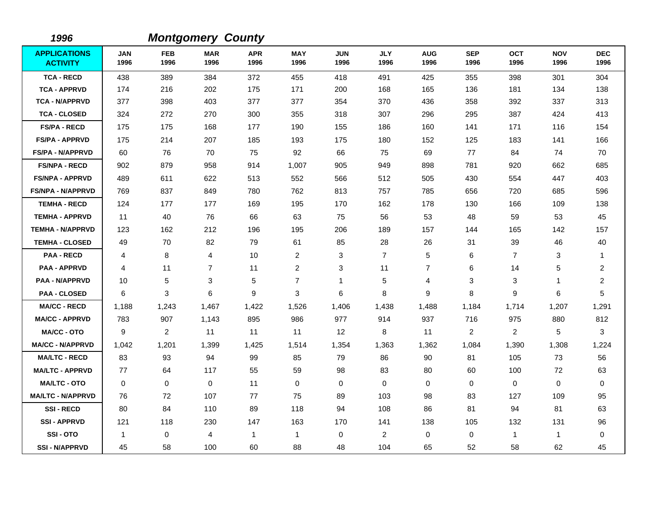| 1996                                   |                    |                    | <b>Montgomery County</b> |                    |                    |                    |                    |                    |                    |                    |                    |                         |
|----------------------------------------|--------------------|--------------------|--------------------------|--------------------|--------------------|--------------------|--------------------|--------------------|--------------------|--------------------|--------------------|-------------------------|
| <b>APPLICATIONS</b><br><b>ACTIVITY</b> | <b>JAN</b><br>1996 | <b>FEB</b><br>1996 | <b>MAR</b><br>1996       | <b>APR</b><br>1996 | <b>MAY</b><br>1996 | <b>JUN</b><br>1996 | <b>JLY</b><br>1996 | <b>AUG</b><br>1996 | <b>SEP</b><br>1996 | <b>OCT</b><br>1996 | <b>NOV</b><br>1996 | <b>DEC</b><br>1996      |
| <b>TCA - RECD</b>                      | 438                | 389                | 384                      | 372                | 455                | 418                | 491                | 425                | 355                | 398                | 301                | 304                     |
| <b>TCA - APPRVD</b>                    | 174                | 216                | 202                      | 175                | 171                | 200                | 168                | 165                | 136                | 181                | 134                | 138                     |
| <b>TCA - N/APPRVD</b>                  | 377                | 398                | 403                      | 377                | 377                | 354                | 370                | 436                | 358                | 392                | 337                | 313                     |
| <b>TCA - CLOSED</b>                    | 324                | 272                | 270                      | 300                | 355                | 318                | 307                | 296                | 295                | 387                | 424                | 413                     |
| <b>FS/PA - RECD</b>                    | 175                | 175                | 168                      | 177                | 190                | 155                | 186                | 160                | 141                | 171                | 116                | 154                     |
| <b>FS/PA - APPRVD</b>                  | 175                | 214                | 207                      | 185                | 193                | 175                | 180                | 152                | 125                | 183                | 141                | 166                     |
| <b>FS/PA - N/APPRVD</b>                | 60                 | 76                 | 70                       | 75                 | 92                 | 66                 | 75                 | 69                 | 77                 | 84                 | 74                 | 70                      |
| <b>FS/NPA - RECD</b>                   | 902                | 879                | 958                      | 914                | 1,007              | 905                | 949                | 898                | 781                | 920                | 662                | 685                     |
| <b>FS/NPA - APPRVD</b>                 | 489                | 611                | 622                      | 513                | 552                | 566                | 512                | 505                | 430                | 554                | 447                | 403                     |
| <b>FS/NPA - N/APPRVD</b>               | 769                | 837                | 849                      | 780                | 762                | 813                | 757                | 785                | 656                | 720                | 685                | 596                     |
| <b>TEMHA - RECD</b>                    | 124                | 177                | 177                      | 169                | 195                | 170                | 162                | 178                | 130                | 166                | 109                | 138                     |
| <b>TEMHA - APPRVD</b>                  | 11                 | 40                 | 76                       | 66                 | 63                 | 75                 | 56                 | 53                 | 48                 | 59                 | 53                 | 45                      |
| <b>TEMHA - N/APPRVD</b>                | 123                | 162                | 212                      | 196                | 195                | 206                | 189                | 157                | 144                | 165                | 142                | 157                     |
| <b>TEMHA - CLOSED</b>                  | 49                 | 70                 | 82                       | 79                 | 61                 | 85                 | 28                 | 26                 | 31                 | 39                 | 46                 | 40                      |
| <b>PAA - RECD</b>                      | 4                  | 8                  | $\overline{4}$           | 10                 | $\overline{2}$     | 3                  | $\overline{7}$     | 5                  | 6                  | $\overline{7}$     | 3                  | 1                       |
| <b>PAA - APPRVD</b>                    | 4                  | 11                 | $\overline{7}$           | 11                 | $\overline{2}$     | 3                  | 11                 | $\overline{7}$     | 6                  | 14                 | 5                  | $\overline{\mathbf{c}}$ |
| <b>PAA - N/APPRVD</b>                  | 10                 | 5                  | 3                        | 5                  | $\overline{7}$     | 1                  | 5                  | 4                  | 3                  | 3                  | $\mathbf{1}$       | $\overline{\mathbf{c}}$ |
| <b>PAA - CLOSED</b>                    | 6                  | 3                  | 6                        | 9                  | 3                  | 6                  | 8                  | 9                  | 8                  | 9                  | 6                  | 5                       |
| <b>MA/CC - RECD</b>                    | 1,188              | 1,243              | 1,467                    | 1,422              | 1,526              | 1,406              | 1,438              | 1,488              | 1,184              | 1,714              | 1,207              | 1,291                   |
| <b>MA/CC - APPRVD</b>                  | 783                | 907                | 1,143                    | 895                | 986                | 977                | 914                | 937                | 716                | 975                | 880                | 812                     |
| <b>MA/CC - OTO</b>                     | 9                  | 2                  | 11                       | 11                 | 11                 | 12                 | 8                  | 11                 | 2                  | $\overline{2}$     | 5                  | 3                       |
| <b>MA/CC - N/APPRVD</b>                | 1,042              | 1,201              | 1,399                    | 1,425              | 1,514              | 1,354              | 1,363              | 1,362              | 1,084              | 1,390              | 1,308              | 1,224                   |
| <b>MA/LTC - RECD</b>                   | 83                 | 93                 | 94                       | 99                 | 85                 | 79                 | 86                 | 90                 | 81                 | 105                | 73                 | 56                      |
| <b>MA/LTC - APPRVD</b>                 | 77                 | 64                 | 117                      | 55                 | 59                 | 98                 | 83                 | 80                 | 60                 | 100                | 72                 | 63                      |
| <b>MA/LTC - OTO</b>                    | $\mathbf 0$        | 0                  | $\mathbf 0$              | 11                 | 0                  | $\mathbf 0$        | $\mathbf 0$        | 0                  | $\mathbf 0$        | $\mathbf 0$        | 0                  | 0                       |
| <b>MA/LTC - N/APPRVD</b>               | 76                 | 72                 | 107                      | 77                 | 75                 | 89                 | 103                | 98                 | 83                 | 127                | 109                | 95                      |
| <b>SSI-RECD</b>                        | 80                 | 84                 | 110                      | 89                 | 118                | 94                 | 108                | 86                 | 81                 | 94                 | 81                 | 63                      |
| <b>SSI-APPRVD</b>                      | 121                | 118                | 230                      | 147                | 163                | 170                | 141                | 138                | 105                | 132                | 131                | 96                      |
| SSI-OTO                                | $\overline{1}$     | 0                  | 4                        | 1                  | $\mathbf{1}$       | $\mathbf 0$        | $\overline{c}$     | 0                  | 0                  | $\mathbf 1$        | $\mathbf{1}$       | 0                       |
| <b>SSI-N/APPRVD</b>                    | 45                 | 58                 | 100                      | 60                 | 88                 | 48                 | 104                | 65                 | 52                 | 58                 | 62                 | 45                      |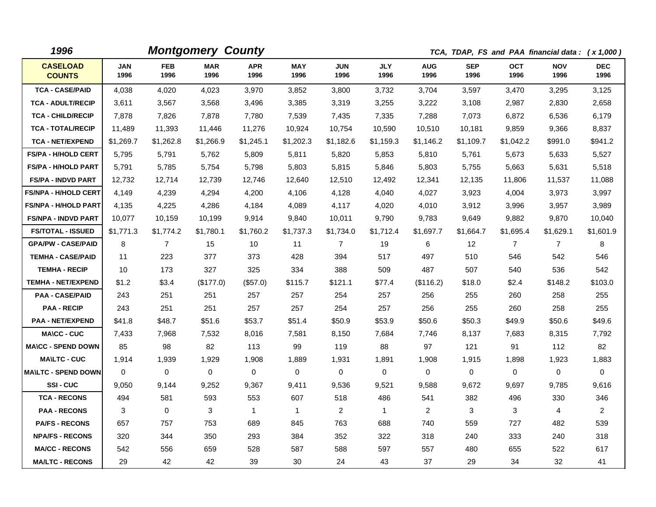| 1996                             |                    |                    | <b>Montgomery County</b> |                    |                    |                    |                    |                    |                    | TCA, TDAP, FS and PAA financial data: (x 1,000) |                    |                    |
|----------------------------------|--------------------|--------------------|--------------------------|--------------------|--------------------|--------------------|--------------------|--------------------|--------------------|-------------------------------------------------|--------------------|--------------------|
| <b>CASELOAD</b><br><b>COUNTS</b> | <b>JAN</b><br>1996 | <b>FEB</b><br>1996 | <b>MAR</b><br>1996       | <b>APR</b><br>1996 | <b>MAY</b><br>1996 | <b>JUN</b><br>1996 | <b>JLY</b><br>1996 | <b>AUG</b><br>1996 | <b>SEP</b><br>1996 | <b>OCT</b><br>1996                              | <b>NOV</b><br>1996 | <b>DEC</b><br>1996 |
| <b>TCA - CASE/PAID</b>           | 4,038              | 4,020              | 4,023                    | 3,970              | 3,852              | 3,800              | 3,732              | 3,704              | 3,597              | 3,470                                           | 3,295              | 3,125              |
| <b>TCA - ADULT/RECIP</b>         | 3,611              | 3,567              | 3,568                    | 3,496              | 3,385              | 3,319              | 3,255              | 3,222              | 3,108              | 2,987                                           | 2,830              | 2,658              |
| <b>TCA - CHILD/RECIP</b>         | 7,878              | 7,826              | 7,878                    | 7,780              | 7,539              | 7,435              | 7,335              | 7,288              | 7,073              | 6,872                                           | 6,536              | 6,179              |
| <b>TCA - TOTAL/RECIP</b>         | 11,489             | 11,393             | 11,446                   | 11,276             | 10,924             | 10,754             | 10,590             | 10,510             | 10,181             | 9,859                                           | 9,366              | 8,837              |
| <b>TCA - NET/EXPEND</b>          | \$1,269.7          | \$1,262.8          | \$1,266.9                | \$1,245.1          | \$1,202.3          | \$1,182.6          | \$1,159.3          | \$1,146.2          | \$1,109.7          | \$1,042.2                                       | \$991.0            | \$941.2            |
| <b>FS/PA - H/HOLD CERT</b>       | 5,795              | 5,791              | 5,762                    | 5,809              | 5,811              | 5,820              | 5,853              | 5,810              | 5.761              | 5,673                                           | 5,633              | 5,527              |
| <b>FS/PA - H/HOLD PART</b>       | 5,791              | 5,785              | 5,754                    | 5,798              | 5,803              | 5,815              | 5,846              | 5,803              | 5,755              | 5,663                                           | 5,631              | 5,518              |
| <b>FS/PA - INDVD PART</b>        | 12,732             | 12,714             | 12,739                   | 12,746             | 12,640             | 12,510             | 12,492             | 12,341             | 12,135             | 11,806                                          | 11,537             | 11,088             |
| <b>FS/NPA - H/HOLD CERT</b>      | 4,149              | 4,239              | 4,294                    | 4,200              | 4,106              | 4,128              | 4,040              | 4,027              | 3,923              | 4,004                                           | 3,973              | 3,997              |
| <b>FS/NPA - H/HOLD PART</b>      | 4,135              | 4,225              | 4,286                    | 4,184              | 4,089              | 4,117              | 4,020              | 4,010              | 3,912              | 3,996                                           | 3,957              | 3,989              |
| <b>FS/NPA - INDVD PART</b>       | 10,077             | 10,159             | 10,199                   | 9,914              | 9,840              | 10,011             | 9,790              | 9,783              | 9,649              | 9,882                                           | 9,870              | 10,040             |
| <b>FS/TOTAL - ISSUED</b>         | \$1,771.3          | \$1,774.2          | \$1,780.1                | \$1,760.2          | \$1,737.3          | \$1,734.0          | \$1,712.4          | \$1,697.7          | \$1,664.7          | \$1,695.4                                       | \$1,629.1          | \$1,601.9          |
| <b>GPA/PW - CASE/PAID</b>        | 8                  | $\overline{7}$     | 15                       | 10                 | 11                 | $\overline{7}$     | 19                 | 6                  | 12                 | $\overline{7}$                                  | $\overline{7}$     | 8                  |
| <b>TEMHA - CASE/PAID</b>         | 11                 | 223                | 377                      | 373                | 428                | 394                | 517                | 497                | 510                | 546                                             | 542                | 546                |
| <b>TEMHA - RECIP</b>             | 10                 | 173                | 327                      | 325                | 334                | 388                | 509                | 487                | 507                | 540                                             | 536                | 542                |
| <b>TEMHA - NET/EXPEND</b>        | \$1.2              | \$3.4              | (\$177.0)                | (\$57.0)           | \$115.7            | \$121.1            | \$77.4             | (\$116.2)          | \$18.0             | \$2.4                                           | \$148.2            | \$103.0            |
| <b>PAA - CASE/PAID</b>           | 243                | 251                | 251                      | 257                | 257                | 254                | 257                | 256                | 255                | 260                                             | 258                | 255                |
| <b>PAA - RECIP</b>               | 243                | 251                | 251                      | 257                | 257                | 254                | 257                | 256                | 255                | 260                                             | 258                | 255                |
| <b>PAA - NET/EXPEND</b>          | \$41.8             | \$48.7             | \$51.6                   | \$53.7             | \$51.4             | \$50.9             | \$53.9             | \$50.6             | \$50.3             | \$49.9                                          | \$50.6             | \$49.6             |
| <b>MA\CC - CUC</b>               | 7,433              | 7,968              | 7,532                    | 8,016              | 7,581              | 8,150              | 7.684              | 7,746              | 8.137              | 7,683                                           | 8,315              | 7,792              |
| <b>MA\CC - SPEND DOWN</b>        | 85                 | 98                 | 82                       | 113                | 99                 | 119                | 88                 | 97                 | 121                | 91                                              | 112                | 82                 |
| <b>MA\LTC - CUC</b>              | 1,914              | 1,939              | 1,929                    | 1,908              | 1,889              | 1,931              | 1,891              | 1,908              | 1,915              | 1,898                                           | 1,923              | 1,883              |
| <b>MA\LTC - SPEND DOWN</b>       | $\Omega$           | 0                  | 0                        | 0                  | 0                  | 0                  | 0                  | 0                  | $\Omega$           | 0                                               | 0                  | 0                  |
| <b>SSI-CUC</b>                   | 9,050              | 9,144              | 9,252                    | 9,367              | 9,411              | 9,536              | 9,521              | 9,588              | 9,672              | 9,697                                           | 9,785              | 9,616              |
| <b>TCA - RECONS</b>              | 494                | 581                | 593                      | 553                | 607                | 518                | 486                | 541                | 382                | 496                                             | 330                | 346                |
| <b>PAA - RECONS</b>              | 3                  | $\Omega$           | 3                        | $\mathbf{1}$       | $\mathbf{1}$       | $\overline{2}$     | $\mathbf{1}$       | $\overline{2}$     | 3                  | 3                                               | 4                  | $\overline{2}$     |
| <b>PA/FS - RECONS</b>            | 657                | 757                | 753                      | 689                | 845                | 763                | 688                | 740                | 559                | 727                                             | 482                | 539                |
| <b>NPA/FS - RECONS</b>           | 320                | 344                | 350                      | 293                | 384                | 352                | 322                | 318                | 240                | 333                                             | 240                | 318                |
| <b>MA/CC - RECONS</b>            | 542                | 556                | 659                      | 528                | 587                | 588                | 597                | 557                | 480                | 655                                             | 522                | 617                |
| <b>MA/LTC - RECONS</b>           | 29                 | 42                 | 42                       | 39                 | 30                 | 24                 | 43                 | 37                 | 29                 | 34                                              | 32                 | 41                 |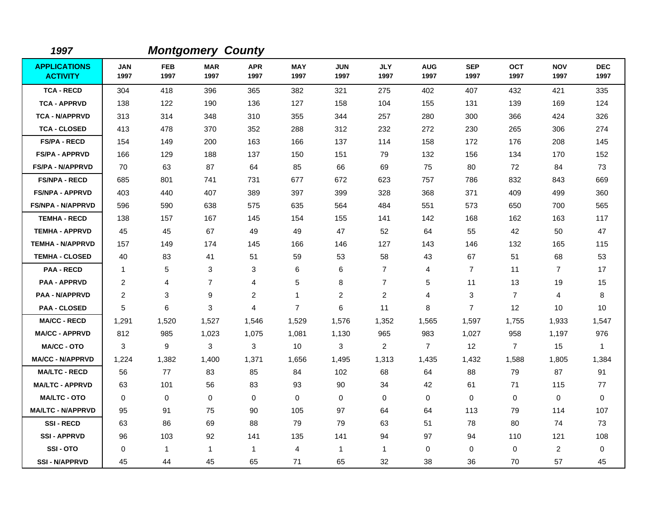| 1997                                   |                    |                    | <b>Montgomery County</b> |                    |                    |                    |                    |                    |                    |                    |                    |                    |
|----------------------------------------|--------------------|--------------------|--------------------------|--------------------|--------------------|--------------------|--------------------|--------------------|--------------------|--------------------|--------------------|--------------------|
| <b>APPLICATIONS</b><br><b>ACTIVITY</b> | <b>JAN</b><br>1997 | <b>FEB</b><br>1997 | <b>MAR</b><br>1997       | <b>APR</b><br>1997 | <b>MAY</b><br>1997 | <b>JUN</b><br>1997 | <b>JLY</b><br>1997 | <b>AUG</b><br>1997 | <b>SEP</b><br>1997 | <b>OCT</b><br>1997 | <b>NOV</b><br>1997 | <b>DEC</b><br>1997 |
| <b>TCA - RECD</b>                      | 304                | 418                | 396                      | 365                | 382                | 321                | 275                | 402                | 407                | 432                | 421                | 335                |
| <b>TCA - APPRVD</b>                    | 138                | 122                | 190                      | 136                | 127                | 158                | 104                | 155                | 131                | 139                | 169                | 124                |
| <b>TCA - N/APPRVD</b>                  | 313                | 314                | 348                      | 310                | 355                | 344                | 257                | 280                | 300                | 366                | 424                | 326                |
| <b>TCA - CLOSED</b>                    | 413                | 478                | 370                      | 352                | 288                | 312                | 232                | 272                | 230                | 265                | 306                | 274                |
| <b>FS/PA - RECD</b>                    | 154                | 149                | 200                      | 163                | 166                | 137                | 114                | 158                | 172                | 176                | 208                | 145                |
| <b>FS/PA - APPRVD</b>                  | 166                | 129                | 188                      | 137                | 150                | 151                | 79                 | 132                | 156                | 134                | 170                | 152                |
| <b>FS/PA - N/APPRVD</b>                | 70                 | 63                 | 87                       | 64                 | 85                 | 66                 | 69                 | 75                 | 80                 | 72                 | 84                 | 73                 |
| <b>FS/NPA - RECD</b>                   | 685                | 801                | 741                      | 731                | 677                | 672                | 623                | 757                | 786                | 832                | 843                | 669                |
| <b>FS/NPA - APPRVD</b>                 | 403                | 440                | 407                      | 389                | 397                | 399                | 328                | 368                | 371                | 409                | 499                | 360                |
| <b>FS/NPA - N/APPRVD</b>               | 596                | 590                | 638                      | 575                | 635                | 564                | 484                | 551                | 573                | 650                | 700                | 565                |
| <b>TEMHA - RECD</b>                    | 138                | 157                | 167                      | 145                | 154                | 155                | 141                | 142                | 168                | 162                | 163                | 117                |
| <b>TEMHA - APPRVD</b>                  | 45                 | 45                 | 67                       | 49                 | 49                 | 47                 | 52                 | 64                 | 55                 | 42                 | 50                 | 47                 |
| <b>TEMHA - N/APPRVD</b>                | 157                | 149                | 174                      | 145                | 166                | 146                | 127                | 143                | 146                | 132                | 165                | 115                |
| <b>TEMHA - CLOSED</b>                  | 40                 | 83                 | 41                       | 51                 | 59                 | 53                 | 58                 | 43                 | 67                 | 51                 | 68                 | 53                 |
| <b>PAA - RECD</b>                      | $\mathbf{1}$       | 5                  | 3                        | 3                  | 6                  | 6                  | $\overline{7}$     | 4                  | $\overline{7}$     | 11                 | $\overline{7}$     | 17                 |
| <b>PAA - APPRVD</b>                    | 2                  | 4                  | $\overline{7}$           | 4                  | 5                  | 8                  | $\overline{7}$     | 5                  | 11                 | 13                 | 19                 | 15                 |
| <b>PAA - N/APPRVD</b>                  | $\overline{2}$     | 3                  | 9                        | $\overline{2}$     | $\mathbf{1}$       | $\overline{2}$     | 2                  | 4                  | 3                  | $\overline{7}$     | 4                  | 8                  |
| <b>PAA - CLOSED</b>                    | 5                  | 6                  | 3                        | $\overline{4}$     | $\overline{7}$     | 6                  | 11                 | 8                  | $\overline{7}$     | 12                 | 10                 | 10                 |
| <b>MA/CC - RECD</b>                    | 1,291              | 1,520              | 1,527                    | 1,546              | 1,529              | 1,576              | 1,352              | 1,565              | 1,597              | 1,755              | 1,933              | 1,547              |
| <b>MA/CC - APPRVD</b>                  | 812                | 985                | 1,023                    | 1,075              | 1,081              | 1,130              | 965                | 983                | 1,027              | 958                | 1,197              | 976                |
| <b>MA/CC - OTO</b>                     | 3                  | 9                  | 3                        | 3                  | 10                 | 3                  | $\overline{2}$     | $\overline{7}$     | 12                 | $\overline{7}$     | 15                 | $\mathbf{1}$       |
| <b>MA/CC - N/APPRVD</b>                | 1,224              | 1,382              | 1,400                    | 1,371              | 1,656              | 1,495              | 1,313              | 1,435              | 1,432              | 1,588              | 1,805              | 1,384              |
| <b>MA/LTC - RECD</b>                   | 56                 | 77                 | 83                       | 85                 | 84                 | 102                | 68                 | 64                 | 88                 | 79                 | 87                 | 91                 |
| <b>MA/LTC - APPRVD</b>                 | 63                 | 101                | 56                       | 83                 | 93                 | 90                 | 34                 | 42                 | 61                 | 71                 | 115                | 77                 |
| <b>MA/LTC - OTO</b>                    | $\Omega$           | 0                  | $\mathbf 0$              | $\mathbf 0$        | 0                  | 0                  | 0                  | 0                  | 0                  | $\Omega$           | $\mathbf 0$        | $\mathbf 0$        |
| <b>MA/LTC - N/APPRVD</b>               | 95                 | 91                 | 75                       | 90                 | 105                | 97                 | 64                 | 64                 | 113                | 79                 | 114                | 107                |
| <b>SSI-RECD</b>                        | 63                 | 86                 | 69                       | 88                 | 79                 | 79                 | 63                 | 51                 | 78                 | 80                 | 74                 | 73                 |
| <b>SSI-APPRVD</b>                      | 96                 | 103                | 92                       | 141                | 135                | 141                | 94                 | 97                 | 94                 | 110                | 121                | 108                |
| SSI-OTO                                | 0                  | $\mathbf{1}$       | $\mathbf{1}$             | $\mathbf{1}$       | 4                  | $\mathbf{1}$       | $\mathbf{1}$       | 0                  | $\mathbf 0$        | $\mathbf 0$        | $\overline{c}$     | 0                  |
| <b>SSI-N/APPRVD</b>                    | 45                 | 44                 | 45                       | 65                 | 71                 | 65                 | 32                 | 38                 | 36                 | 70                 | 57                 | 45                 |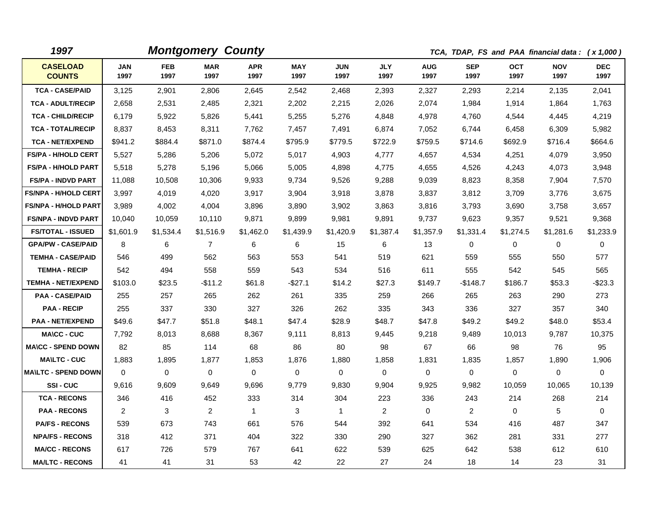| 1997                             |                    |                    | <b>Montgomery County</b> |                    |                    |                    |                    |                    |                    |                    | TCA, TDAP, FS and PAA financial data: (x 1,000) |                    |
|----------------------------------|--------------------|--------------------|--------------------------|--------------------|--------------------|--------------------|--------------------|--------------------|--------------------|--------------------|-------------------------------------------------|--------------------|
| <b>CASELOAD</b><br><b>COUNTS</b> | <b>JAN</b><br>1997 | <b>FEB</b><br>1997 | <b>MAR</b><br>1997       | <b>APR</b><br>1997 | <b>MAY</b><br>1997 | <b>JUN</b><br>1997 | <b>JLY</b><br>1997 | <b>AUG</b><br>1997 | <b>SEP</b><br>1997 | <b>OCT</b><br>1997 | <b>NOV</b><br>1997                              | <b>DEC</b><br>1997 |
| <b>TCA - CASE/PAID</b>           | 3,125              | 2,901              | 2,806                    | 2,645              | 2,542              | 2,468              | 2,393              | 2,327              | 2,293              | 2,214              | 2,135                                           | 2,041              |
| <b>TCA - ADULT/RECIP</b>         | 2,658              | 2,531              | 2,485                    | 2,321              | 2,202              | 2,215              | 2,026              | 2,074              | 1,984              | 1,914              | 1,864                                           | 1,763              |
| <b>TCA - CHILD/RECIP</b>         | 6,179              | 5,922              | 5,826                    | 5,441              | 5,255              | 5,276              | 4,848              | 4,978              | 4,760              | 4,544              | 4,445                                           | 4,219              |
| <b>TCA - TOTAL/RECIP</b>         | 8,837              | 8,453              | 8,311                    | 7,762              | 7,457              | 7,491              | 6,874              | 7,052              | 6,744              | 6,458              | 6,309                                           | 5,982              |
| <b>TCA - NET/EXPEND</b>          | \$941.2            | \$884.4            | \$871.0                  | \$874.4            | \$795.9            | \$779.5            | \$722.9            | \$759.5            | \$714.6            | \$692.9            | \$716.4                                         | \$664.6            |
| FS/PA - H/HOLD CERT              | 5,527              | 5,286              | 5,206                    | 5,072              | 5,017              | 4,903              | 4,777              | 4,657              | 4,534              | 4,251              | 4,079                                           | 3,950              |
| <b>FS/PA - H/HOLD PART</b>       | 5,518              | 5,278              | 5,196                    | 5,066              | 5,005              | 4,898              | 4,775              | 4,655              | 4,526              | 4,243              | 4,073                                           | 3,948              |
| <b>FS/PA - INDVD PART</b>        | 11,088             | 10,508             | 10,306                   | 9,933              | 9,734              | 9,526              | 9,288              | 9,039              | 8,823              | 8,358              | 7,904                                           | 7,570              |
| <b>FS/NPA - H/HOLD CERT</b>      | 3,997              | 4,019              | 4,020                    | 3,917              | 3,904              | 3,918              | 3,878              | 3,837              | 3,812              | 3,709              | 3,776                                           | 3,675              |
| <b>FS/NPA - H/HOLD PART</b>      | 3,989              | 4,002              | 4,004                    | 3,896              | 3,890              | 3,902              | 3,863              | 3,816              | 3,793              | 3,690              | 3,758                                           | 3,657              |
| <b>FS/NPA - INDVD PART</b>       | 10,040             | 10,059             | 10,110                   | 9,871              | 9,899              | 9,981              | 9,891              | 9,737              | 9,623              | 9,357              | 9,521                                           | 9,368              |
| <b>FS/TOTAL - ISSUED</b>         | \$1,601.9          | \$1,534.4          | \$1,516.9                | \$1,462.0          | \$1,439.9          | \$1,420.9          | \$1,387.4          | \$1,357.9          | \$1,331.4          | \$1,274.5          | \$1,281.6                                       | \$1,233.9          |
| <b>GPA/PW - CASE/PAID</b>        | 8                  | 6                  | $\overline{7}$           | 6                  | 6                  | 15                 | 6                  | 13                 | 0                  | 0                  | 0                                               | 0                  |
| <b>TEMHA - CASE/PAID</b>         | 546                | 499                | 562                      | 563                | 553                | 541                | 519                | 621                | 559                | 555                | 550                                             | 577                |
| <b>TEMHA - RECIP</b>             | 542                | 494                | 558                      | 559                | 543                | 534                | 516                | 611                | 555                | 542                | 545                                             | 565                |
| <b>TEMHA - NET/EXPEND</b>        | \$103.0            | \$23.5             | -\$11.2                  | \$61.8             | $-$27.1$           | \$14.2             | \$27.3             | \$149.7            | $-$ \$148.7        | \$186.7            | \$53.3                                          | $-$ \$23.3         |
| <b>PAA - CASE/PAID</b>           | 255                | 257                | 265                      | 262                | 261                | 335                | 259                | 266                | 265                | 263                | 290                                             | 273                |
| <b>PAA - RECIP</b>               | 255                | 337                | 330                      | 327                | 326                | 262                | 335                | 343                | 336                | 327                | 357                                             | 340                |
| <b>PAA - NET/EXPEND</b>          | \$49.6             | \$47.7             | \$51.8                   | \$48.1             | \$47.4             | \$28.9             | \$48.7             | \$47.8             | \$49.2             | \$49.2             | \$48.0                                          | \$53.4             |
| <b>MA\CC - CUC</b>               | 7,792              | 8,013              | 8,688                    | 8,367              | 9,111              | 8,813              | 9,445              | 9,218              | 9,489              | 10,013             | 9,787                                           | 10,375             |
| <b>MA\CC - SPEND DOWN</b>        | 82                 | 85                 | 114                      | 68                 | 86                 | 80                 | 98                 | 67                 | 66                 | 98                 | 76                                              | 95                 |
| <b>MA\LTC - CUC</b>              | 1,883              | 1,895              | 1,877                    | 1,853              | 1,876              | 1,880              | 1,858              | 1,831              | 1,835              | 1,857              | 1,890                                           | 1,906              |
| <b>MA\LTC - SPEND DOWN</b>       | 0                  | $\mathbf 0$        | $\mathbf 0$              | 0                  | 0                  | 0                  | $\mathbf 0$        | $\mathbf 0$        | 0                  | 0                  | 0                                               | 0                  |
| SSI-CUC                          | 9,616              | 9,609              | 9,649                    | 9,696              | 9,779              | 9,830              | 9,904              | 9,925              | 9,982              | 10,059             | 10,065                                          | 10,139             |
| <b>TCA - RECONS</b>              | 346                | 416                | 452                      | 333                | 314                | 304                | 223                | 336                | 243                | 214                | 268                                             | 214                |
| <b>PAA - RECONS</b>              | $\overline{2}$     | 3                  | $\overline{2}$           | $\mathbf{1}$       | 3                  | $\overline{1}$     | $\overline{2}$     | $\mathbf 0$        | $\overline{2}$     | $\mathbf 0$        | 5                                               | $\mathbf 0$        |
| <b>PA/FS - RECONS</b>            | 539                | 673                | 743                      | 661                | 576                | 544                | 392                | 641                | 534                | 416                | 487                                             | 347                |
| <b>NPA/FS - RECONS</b>           | 318                | 412                | 371                      | 404                | 322                | 330                | 290                | 327                | 362                | 281                | 331                                             | 277                |
| <b>MA/CC - RECONS</b>            | 617                | 726                | 579                      | 767                | 641                | 622                | 539                | 625                | 642                | 538                | 612                                             | 610                |
| <b>MA/LTC - RECONS</b>           | 41                 | 41                 | 31                       | 53                 | 42                 | 22                 | 27                 | 24                 | 18                 | 14                 | 23                                              | 31                 |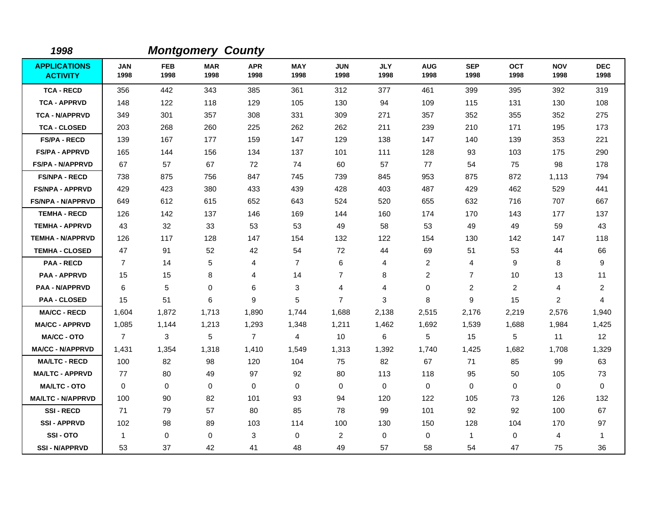| 1998                                   |                    |                    | <b>Montgomery County</b> |                    |                    |                    |                    |                    |                    |                    |                    |                    |
|----------------------------------------|--------------------|--------------------|--------------------------|--------------------|--------------------|--------------------|--------------------|--------------------|--------------------|--------------------|--------------------|--------------------|
| <b>APPLICATIONS</b><br><b>ACTIVITY</b> | <b>JAN</b><br>1998 | <b>FEB</b><br>1998 | <b>MAR</b><br>1998       | <b>APR</b><br>1998 | <b>MAY</b><br>1998 | <b>JUN</b><br>1998 | <b>JLY</b><br>1998 | <b>AUG</b><br>1998 | <b>SEP</b><br>1998 | <b>OCT</b><br>1998 | <b>NOV</b><br>1998 | <b>DEC</b><br>1998 |
| <b>TCA - RECD</b>                      | 356                | 442                | 343                      | 385                | 361                | 312                | 377                | 461                | 399                | 395                | 392                | 319                |
| <b>TCA - APPRVD</b>                    | 148                | 122                | 118                      | 129                | 105                | 130                | 94                 | 109                | 115                | 131                | 130                | 108                |
| <b>TCA - N/APPRVD</b>                  | 349                | 301                | 357                      | 308                | 331                | 309                | 271                | 357                | 352                | 355                | 352                | 275                |
| <b>TCA - CLOSED</b>                    | 203                | 268                | 260                      | 225                | 262                | 262                | 211                | 239                | 210                | 171                | 195                | 173                |
| <b>FS/PA - RECD</b>                    | 139                | 167                | 177                      | 159                | 147                | 129                | 138                | 147                | 140                | 139                | 353                | 221                |
| <b>FS/PA - APPRVD</b>                  | 165                | 144                | 156                      | 134                | 137                | 101                | 111                | 128                | 93                 | 103                | 175                | 290                |
| <b>FS/PA - N/APPRVD</b>                | 67                 | 57                 | 67                       | 72                 | 74                 | 60                 | 57                 | 77                 | 54                 | 75                 | 98                 | 178                |
| <b>FS/NPA - RECD</b>                   | 738                | 875                | 756                      | 847                | 745                | 739                | 845                | 953                | 875                | 872                | 1,113              | 794                |
| <b>FS/NPA - APPRVD</b>                 | 429                | 423                | 380                      | 433                | 439                | 428                | 403                | 487                | 429                | 462                | 529                | 441                |
| <b>FS/NPA - N/APPRVD</b>               | 649                | 612                | 615                      | 652                | 643                | 524                | 520                | 655                | 632                | 716                | 707                | 667                |
| <b>TEMHA - RECD</b>                    | 126                | 142                | 137                      | 146                | 169                | 144                | 160                | 174                | 170                | 143                | 177                | 137                |
| <b>TEMHA - APPRVD</b>                  | 43                 | 32                 | 33                       | 53                 | 53                 | 49                 | 58                 | 53                 | 49                 | 49                 | 59                 | 43                 |
| <b>TEMHA - N/APPRVD</b>                | 126                | 117                | 128                      | 147                | 154                | 132                | 122                | 154                | 130                | 142                | 147                | 118                |
| <b>TEMHA - CLOSED</b>                  | 47                 | 91                 | 52                       | 42                 | 54                 | 72                 | 44                 | 69                 | 51                 | 53                 | 44                 | 66                 |
| <b>PAA - RECD</b>                      | $\overline{7}$     | 14                 | 5                        | 4                  | $\overline{7}$     | 6                  | 4                  | 2                  | 4                  | 9                  | 8                  | 9                  |
| <b>PAA - APPRVD</b>                    | 15                 | 15                 | 8                        | 4                  | 14                 | $\overline{7}$     | 8                  | $\overline{c}$     | $\overline{7}$     | 10                 | 13                 | 11                 |
| <b>PAA - N/APPRVD</b>                  | 6                  | 5                  | 0                        | 6                  | 3                  | $\overline{4}$     | 4                  | 0                  | 2                  | 2                  | $\overline{4}$     | $\overline{c}$     |
| <b>PAA - CLOSED</b>                    | 15                 | 51                 | 6                        | 9                  | 5                  | $\overline{7}$     | 3                  | 8                  | 9                  | 15                 | $\overline{c}$     | 4                  |
| <b>MA/CC - RECD</b>                    | 1,604              | 1,872              | 1.713                    | 1,890              | 1.744              | 1,688              | 2,138              | 2,515              | 2,176              | 2,219              | 2,576              | 1,940              |
| <b>MA/CC - APPRVD</b>                  | 1,085              | 1,144              | 1,213                    | 1,293              | 1,348              | 1,211              | 1,462              | 1,692              | 1,539              | 1,688              | 1,984              | 1,425              |
| <b>MA/CC - OTO</b>                     | $\overline{7}$     | 3                  | 5                        | $\overline{7}$     | 4                  | 10                 | 6                  | 5                  | 15                 | 5                  | 11                 | 12                 |
| <b>MA/CC - N/APPRVD</b>                | 1,431              | 1,354              | 1,318                    | 1,410              | 1,549              | 1,313              | 1,392              | 1,740              | 1,425              | 1,682              | 1,708              | 1,329              |
| <b>MA/LTC - RECD</b>                   | 100                | 82                 | 98                       | 120                | 104                | 75                 | 82                 | 67                 | 71                 | 85                 | 99                 | 63                 |
| <b>MA/LTC - APPRVD</b>                 | 77                 | 80                 | 49                       | 97                 | 92                 | 80                 | 113                | 118                | 95                 | 50                 | 105                | 73                 |
| <b>MA/LTC - OTO</b>                    | $\mathbf 0$        | $\mathbf 0$        | $\mathbf 0$              | $\mathbf 0$        | 0                  | $\mathbf 0$        | $\mathbf 0$        | 0                  | $\mathbf 0$        | 0                  | $\mathbf 0$        | 0                  |
| <b>MA/LTC - N/APPRVD</b>               | 100                | 90                 | 82                       | 101                | 93                 | 94                 | 120                | 122                | 105                | 73                 | 126                | 132                |
| <b>SSI-RECD</b>                        | 71                 | 79                 | 57                       | 80                 | 85                 | 78                 | 99                 | 101                | 92                 | 92                 | 100                | 67                 |
| <b>SSI-APPRVD</b>                      | 102                | 98                 | 89                       | 103                | 114                | 100                | 130                | 150                | 128                | 104                | 170                | 97                 |
| SSI-OTO                                | 1                  | $\mathbf 0$        | 0                        | 3                  | 0                  | $\overline{2}$     | $\mathbf 0$        | 0                  | $\overline{1}$     | $\mathbf 0$        | 4                  | 1                  |
| <b>SSI - N/APPRVD</b>                  | 53                 | 37                 | 42                       | 41                 | 48                 | 49                 | 57                 | 58                 | 54                 | 47                 | 75                 | 36                 |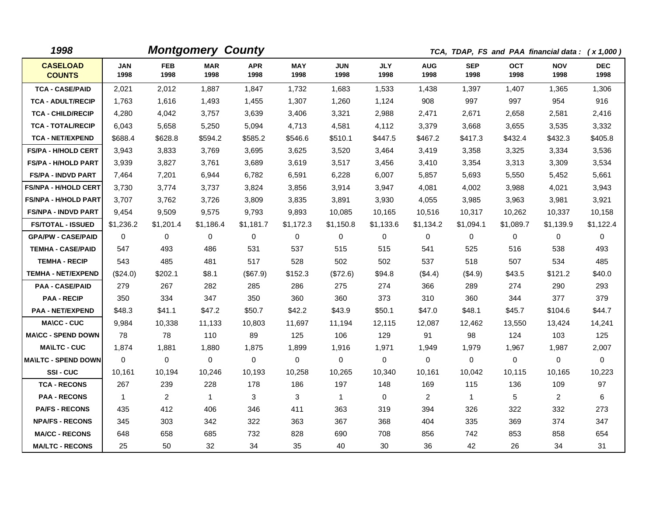| 1998                             |                    |                    | <b>Montgomery County</b> |                    |                    |                    |                    |                    |                    |                    | TCA, TDAP, FS and PAA financial data: (x 1,000) |                    |
|----------------------------------|--------------------|--------------------|--------------------------|--------------------|--------------------|--------------------|--------------------|--------------------|--------------------|--------------------|-------------------------------------------------|--------------------|
| <b>CASELOAD</b><br><b>COUNTS</b> | <b>JAN</b><br>1998 | <b>FEB</b><br>1998 | <b>MAR</b><br>1998       | <b>APR</b><br>1998 | <b>MAY</b><br>1998 | <b>JUN</b><br>1998 | <b>JLY</b><br>1998 | <b>AUG</b><br>1998 | <b>SEP</b><br>1998 | <b>OCT</b><br>1998 | <b>NOV</b><br>1998                              | <b>DEC</b><br>1998 |
| <b>TCA - CASE/PAID</b>           | 2,021              | 2,012              | 1.887                    | 1,847              | 1,732              | 1.683              | 1,533              | 1,438              | 1,397              | 1,407              | 1,365                                           | 1,306              |
| <b>TCA - ADULT/RECIP</b>         | 1,763              | 1,616              | 1,493                    | 1,455              | 1,307              | 1,260              | 1,124              | 908                | 997                | 997                | 954                                             | 916                |
| <b>TCA - CHILD/RECIP</b>         | 4,280              | 4,042              | 3,757                    | 3,639              | 3,406              | 3,321              | 2,988              | 2,471              | 2,671              | 2,658              | 2,581                                           | 2,416              |
| <b>TCA - TOTAL/RECIP</b>         | 6,043              | 5,658              | 5,250                    | 5,094              | 4,713              | 4,581              | 4,112              | 3,379              | 3,668              | 3,655              | 3,535                                           | 3,332              |
| <b>TCA - NET/EXPEND</b>          | \$688.4            | \$628.8            | \$594.2                  | \$585.2            | \$546.6            | \$510.1            | \$447.5            | \$467.2            | \$417.3            | \$432.4            | \$432.3                                         | \$405.8            |
| <b>FS/PA - H/HOLD CERT</b>       | 3,943              | 3,833              | 3,769                    | 3,695              | 3,625              | 3,520              | 3,464              | 3,419              | 3,358              | 3,325              | 3,334                                           | 3,536              |
| <b>FS/PA - H/HOLD PART</b>       | 3,939              | 3,827              | 3,761                    | 3,689              | 3,619              | 3,517              | 3,456              | 3,410              | 3,354              | 3,313              | 3,309                                           | 3,534              |
| <b>FS/PA - INDVD PART</b>        | 7,464              | 7,201              | 6,944                    | 6,782              | 6,591              | 6,228              | 6,007              | 5,857              | 5,693              | 5,550              | 5,452                                           | 5,661              |
| <b>FS/NPA - H/HOLD CERT</b>      | 3,730              | 3,774              | 3,737                    | 3,824              | 3,856              | 3,914              | 3,947              | 4,081              | 4,002              | 3,988              | 4,021                                           | 3,943              |
| <b>FS/NPA - H/HOLD PART</b>      | 3,707              | 3,762              | 3,726                    | 3,809              | 3,835              | 3,891              | 3,930              | 4,055              | 3,985              | 3,963              | 3,981                                           | 3,921              |
| <b>FS/NPA - INDVD PART</b>       | 9,454              | 9,509              | 9,575                    | 9,793              | 9,893              | 10,085             | 10,165             | 10,516             | 10,317             | 10,262             | 10,337                                          | 10,158             |
| <b>FS/TOTAL - ISSUED</b>         | \$1,236.2          | \$1,201.4          | \$1,186.4                | \$1,181.7          | \$1,172.3          | \$1,150.8          | \$1,133.6          | \$1,134.2          | \$1,094.1          | \$1,089.7          | \$1,139.9                                       | \$1,122.4          |
| <b>GPA/PW - CASE/PAID</b>        | 0                  | $\Omega$           | $\Omega$                 | 0                  | 0                  | $\Omega$           | 0                  | $\mathbf{0}$       | 0                  | 0                  | 0                                               | $\mathbf 0$        |
| <b>TEMHA - CASE/PAID</b>         | 547                | 493                | 486                      | 531                | 537                | 515                | 515                | 541                | 525                | 516                | 538                                             | 493                |
| <b>TEMHA - RECIP</b>             | 543                | 485                | 481                      | 517                | 528                | 502                | 502                | 537                | 518                | 507                | 534                                             | 485                |
| <b>TEMHA - NET/EXPEND</b>        | (\$24.0)           | \$202.1            | \$8.1                    | (\$67.9)           | \$152.3            | (\$72.6)           | \$94.8             | (\$4.4)            | $($ \$4.9)         | \$43.5             | \$121.2                                         | \$40.0             |
| <b>PAA - CASE/PAID</b>           | 279                | 267                | 282                      | 285                | 286                | 275                | 274                | 366                | 289                | 274                | 290                                             | 293                |
| <b>PAA - RECIP</b>               | 350                | 334                | 347                      | 350                | 360                | 360                | 373                | 310                | 360                | 344                | 377                                             | 379                |
| <b>PAA - NET/EXPEND</b>          | \$48.3             | \$41.1             | \$47.2                   | \$50.7             | \$42.2             | \$43.9             | \$50.1             | \$47.0             | \$48.1             | \$45.7             | \$104.6                                         | \$44.7             |
| <b>MA\CC - CUC</b>               | 9,984              | 10,338             | 11,133                   | 10,803             | 11,697             | 11,194             | 12,115             | 12,087             | 12,462             | 13,550             | 13,424                                          | 14,241             |
| <b>MA\CC - SPEND DOWN</b>        | 78                 | 78                 | 110                      | 89                 | 125                | 106                | 129                | 91                 | 98                 | 124                | 103                                             | 125                |
| <b>MA\LTC - CUC</b>              | 1,874              | 1,881              | 1,880                    | 1,875              | 1,899              | 1,916              | 1,971              | 1,949              | 1,979              | 1,967              | 1,987                                           | 2,007              |
| <b>MAILTC - SPEND DOWN</b>       | $\Omega$           | 0                  | 0                        | $\mathbf 0$        | $\mathbf 0$        | 0                  | $\Omega$           | $\mathbf 0$        | 0                  | 0                  | 0                                               | 0                  |
| SSI-CUC                          | 10,161             | 10,194             | 10,246                   | 10,193             | 10,258             | 10,265             | 10,340             | 10,161             | 10,042             | 10,115             | 10,165                                          | 10,223             |
| <b>TCA - RECONS</b>              | 267                | 239                | 228                      | 178                | 186                | 197                | 148                | 169                | 115                | 136                | 109                                             | 97                 |
| <b>PAA - RECONS</b>              | $\mathbf{1}$       | $\overline{2}$     | $\mathbf{1}$             | 3                  | 3                  | $\mathbf{1}$       | $\mathbf 0$        | $\overline{2}$     | $\mathbf{1}$       | 5                  | $\overline{2}$                                  | 6                  |
| <b>PA/FS - RECONS</b>            | 435                | 412                | 406                      | 346                | 411                | 363                | 319                | 394                | 326                | 322                | 332                                             | 273                |
| <b>NPA/FS - RECONS</b>           | 345                | 303                | 342                      | 322                | 363                | 367                | 368                | 404                | 335                | 369                | 374                                             | 347                |
| <b>MA/CC - RECONS</b>            | 648                | 658                | 685                      | 732                | 828                | 690                | 708                | 856                | 742                | 853                | 858                                             | 654                |
| <b>MA/LTC - RECONS</b>           | 25                 | 50                 | 32                       | 34                 | 35                 | 40                 | 30                 | 36                 | 42                 | 26                 | 34                                              | 31                 |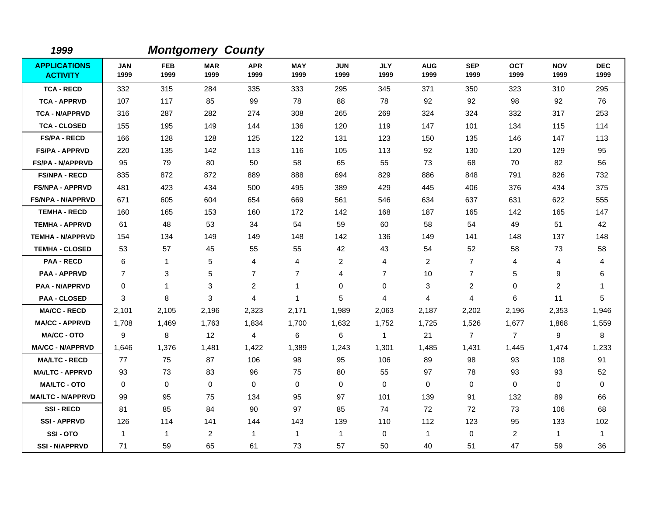| 1999                                   |                    |                    | <b>Montgomery County</b> |                    |                    |                    |                    |                    |                    |                    |                    |                    |
|----------------------------------------|--------------------|--------------------|--------------------------|--------------------|--------------------|--------------------|--------------------|--------------------|--------------------|--------------------|--------------------|--------------------|
| <b>APPLICATIONS</b><br><b>ACTIVITY</b> | <b>JAN</b><br>1999 | <b>FEB</b><br>1999 | <b>MAR</b><br>1999       | <b>APR</b><br>1999 | <b>MAY</b><br>1999 | <b>JUN</b><br>1999 | <b>JLY</b><br>1999 | <b>AUG</b><br>1999 | <b>SEP</b><br>1999 | <b>OCT</b><br>1999 | <b>NOV</b><br>1999 | <b>DEC</b><br>1999 |
| <b>TCA - RECD</b>                      | 332                | 315                | 284                      | 335                | 333                | 295                | 345                | 371                | 350                | 323                | 310                | 295                |
| <b>TCA - APPRVD</b>                    | 107                | 117                | 85                       | 99                 | 78                 | 88                 | 78                 | 92                 | 92                 | 98                 | 92                 | 76                 |
| <b>TCA - N/APPRVD</b>                  | 316                | 287                | 282                      | 274                | 308                | 265                | 269                | 324                | 324                | 332                | 317                | 253                |
| <b>TCA - CLOSED</b>                    | 155                | 195                | 149                      | 144                | 136                | 120                | 119                | 147                | 101                | 134                | 115                | 114                |
| <b>FS/PA - RECD</b>                    | 166                | 128                | 128                      | 125                | 122                | 131                | 123                | 150                | 135                | 146                | 147                | 113                |
| <b>FS/PA - APPRVD</b>                  | 220                | 135                | 142                      | 113                | 116                | 105                | 113                | 92                 | 130                | 120                | 129                | 95                 |
| <b>FS/PA - N/APPRVD</b>                | 95                 | 79                 | 80                       | 50                 | 58                 | 65                 | 55                 | 73                 | 68                 | 70                 | 82                 | 56                 |
| <b>FS/NPA - RECD</b>                   | 835                | 872                | 872                      | 889                | 888                | 694                | 829                | 886                | 848                | 791                | 826                | 732                |
| <b>FS/NPA - APPRVD</b>                 | 481                | 423                | 434                      | 500                | 495                | 389                | 429                | 445                | 406                | 376                | 434                | 375                |
| <b>FS/NPA - N/APPRVD</b>               | 671                | 605                | 604                      | 654                | 669                | 561                | 546                | 634                | 637                | 631                | 622                | 555                |
| <b>TEMHA - RECD</b>                    | 160                | 165                | 153                      | 160                | 172                | 142                | 168                | 187                | 165                | 142                | 165                | 147                |
| <b>TEMHA - APPRVD</b>                  | 61                 | 48                 | 53                       | 34                 | 54                 | 59                 | 60                 | 58                 | 54                 | 49                 | 51                 | 42                 |
| <b>TEMHA - N/APPRVD</b>                | 154                | 134                | 149                      | 149                | 148                | 142                | 136                | 149                | 141                | 148                | 137                | 148                |
| <b>TEMHA - CLOSED</b>                  | 53                 | 57                 | 45                       | 55                 | 55                 | 42                 | 43                 | 54                 | 52                 | 58                 | 73                 | 58                 |
| <b>PAA - RECD</b>                      | 6                  | $\mathbf{1}$       | 5                        | 4                  | 4                  | $\overline{c}$     | 4                  | $\overline{c}$     | $\overline{7}$     | 4                  | 4                  | 4                  |
| <b>PAA - APPRVD</b>                    | $\overline{7}$     | 3                  | 5                        | $\overline{7}$     | $\overline{7}$     | 4                  | $\overline{7}$     | 10                 | $\overline{7}$     | 5                  | 9                  | 6                  |
| <b>PAA - N/APPRVD</b>                  | $\Omega$           | 1                  | 3                        | 2                  | $\mathbf{1}$       | 0                  | $\mathbf 0$        | 3                  | 2                  | 0                  | $\overline{c}$     | $\mathbf 1$        |
| <b>PAA - CLOSED</b>                    | 3                  | 8                  | 3                        | 4                  | $\overline{1}$     | 5                  | 4                  | 4                  | $\overline{4}$     | 6                  | 11                 | 5                  |
| <b>MA/CC - RECD</b>                    | 2,101              | 2,105              | 2,196                    | 2,323              | 2,171              | 1,989              | 2,063              | 2,187              | 2,202              | 2,196              | 2,353              | 1,946              |
| <b>MA/CC - APPRVD</b>                  | 1,708              | 1,469              | 1,763                    | 1,834              | 1,700              | 1,632              | 1,752              | 1,725              | 1,526              | 1,677              | 1,868              | 1,559              |
| <b>MA/CC - OTO</b>                     | 9                  | 8                  | 12                       | $\overline{4}$     | 6                  | 6                  | $\mathbf{1}$       | 21                 | $\overline{7}$     | $\overline{7}$     | 9                  | 8                  |
| <b>MA/CC - N/APPRVD</b>                | 1,646              | 1,376              | 1,481                    | 1,422              | 1,389              | 1,243              | 1,301              | 1,485              | 1,431              | 1,445              | 1,474              | 1,233              |
| <b>MA/LTC - RECD</b>                   | 77                 | 75                 | 87                       | 106                | 98                 | 95                 | 106                | 89                 | 98                 | 93                 | 108                | 91                 |
| <b>MA/LTC - APPRVD</b>                 | 93                 | 73                 | 83                       | 96                 | 75                 | 80                 | 55                 | 97                 | 78                 | 93                 | 93                 | 52                 |
| <b>MA/LTC - OTO</b>                    | 0                  | 0                  | $\mathbf 0$              | 0                  | 0                  | $\mathbf 0$        | $\mathbf 0$        | 0                  | $\mathbf 0$        | 0                  | 0                  | $\mathbf 0$        |
| <b>MA/LTC - N/APPRVD</b>               | 99                 | 95                 | 75                       | 134                | 95                 | 97                 | 101                | 139                | 91                 | 132                | 89                 | 66                 |
| <b>SSI-RECD</b>                        | 81                 | 85                 | 84                       | 90                 | 97                 | 85                 | 74                 | 72                 | 72                 | 73                 | 106                | 68                 |
| <b>SSI-APPRVD</b>                      | 126                | 114                | 141                      | 144                | 143                | 139                | 110                | 112                | 123                | 95                 | 133                | 102                |
| SSI-OTO                                | $\mathbf{1}$       | $\mathbf{1}$       | 2                        | $\mathbf{1}$       | $\mathbf{1}$       | $\mathbf{1}$       | 0                  | 1                  | $\mathbf 0$        | 2                  | 1                  | $\overline{1}$     |
| <b>SSI-N/APPRVD</b>                    | 71                 | 59                 | 65                       | 61                 | 73                 | 57                 | 50                 | 40                 | 51                 | 47                 | 59                 | 36                 |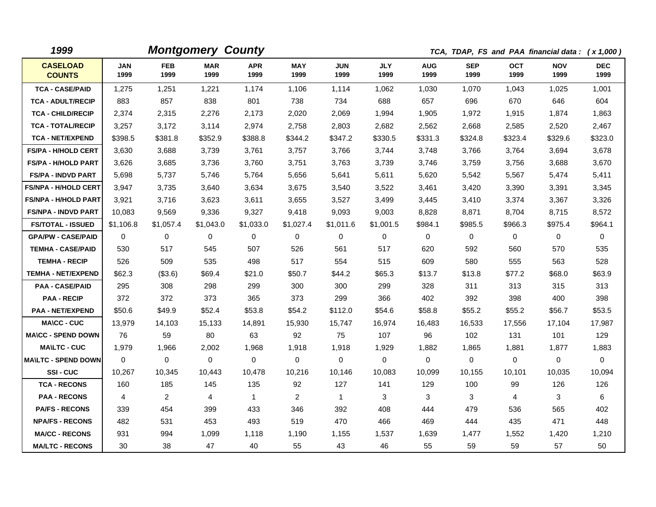| 1999                             |                    |                    | <b>Montgomery County</b> |                    |                    |                    |                    |                    |                    |                    | TCA, TDAP, FS and PAA financial data: (x 1,000) |                    |
|----------------------------------|--------------------|--------------------|--------------------------|--------------------|--------------------|--------------------|--------------------|--------------------|--------------------|--------------------|-------------------------------------------------|--------------------|
| <b>CASELOAD</b><br><b>COUNTS</b> | <b>JAN</b><br>1999 | <b>FEB</b><br>1999 | <b>MAR</b><br>1999       | <b>APR</b><br>1999 | <b>MAY</b><br>1999 | <b>JUN</b><br>1999 | <b>JLY</b><br>1999 | <b>AUG</b><br>1999 | <b>SEP</b><br>1999 | <b>OCT</b><br>1999 | <b>NOV</b><br>1999                              | <b>DEC</b><br>1999 |
| <b>TCA - CASE/PAID</b>           | 1,275              | 1,251              | 1,221                    | 1,174              | 1,106              | 1,114              | 1,062              | 1,030              | 1,070              | 1,043              | 1,025                                           | 1,001              |
| <b>TCA - ADULT/RECIP</b>         | 883                | 857                | 838                      | 801                | 738                | 734                | 688                | 657                | 696                | 670                | 646                                             | 604                |
| <b>TCA - CHILD/RECIP</b>         | 2,374              | 2,315              | 2,276                    | 2,173              | 2,020              | 2,069              | 1,994              | 1,905              | 1,972              | 1,915              | 1,874                                           | 1,863              |
| <b>TCA - TOTAL/RECIP</b>         | 3,257              | 3,172              | 3,114                    | 2,974              | 2,758              | 2,803              | 2,682              | 2,562              | 2,668              | 2,585              | 2,520                                           | 2,467              |
| <b>TCA - NET/EXPEND</b>          | \$398.5            | \$381.8            | \$352.9                  | \$388.8            | \$344.2            | \$347.2            | \$330.5            | \$331.3            | \$324.8            | \$323.4            | \$329.6                                         | \$323.0            |
| <b>FS/PA - H/HOLD CERT</b>       | 3,630              | 3,688              | 3,739                    | 3,761              | 3,757              | 3,766              | 3,744              | 3,748              | 3,766              | 3,764              | 3,694                                           | 3,678              |
| FS/PA - H/HOLD PART              | 3,626              | 3,685              | 3,736                    | 3,760              | 3,751              | 3,763              | 3,739              | 3,746              | 3,759              | 3,756              | 3,688                                           | 3,670              |
| <b>FS/PA - INDVD PART</b>        | 5,698              | 5,737              | 5,746                    | 5,764              | 5,656              | 5,641              | 5,611              | 5,620              | 5,542              | 5,567              | 5,474                                           | 5,411              |
| <b>FS/NPA - H/HOLD CERT</b>      | 3,947              | 3,735              | 3,640                    | 3,634              | 3,675              | 3,540              | 3,522              | 3,461              | 3,420              | 3,390              | 3,391                                           | 3,345              |
| <b>FS/NPA - H/HOLD PART</b>      | 3,921              | 3,716              | 3,623                    | 3,611              | 3,655              | 3,527              | 3,499              | 3,445              | 3,410              | 3,374              | 3,367                                           | 3,326              |
| <b>FS/NPA - INDVD PART</b>       | 10,083             | 9,569              | 9,336                    | 9,327              | 9,418              | 9,093              | 9,003              | 8,828              | 8,871              | 8,704              | 8,715                                           | 8,572              |
| <b>FS/TOTAL - ISSUED</b>         | \$1,106.8          | \$1,057.4          | \$1,043.0                | \$1,033.0          | \$1,027.4          | \$1,011.6          | \$1,001.5          | \$984.1            | \$985.5            | \$966.3            | \$975.4                                         | \$964.1            |
| <b>GPA/PW - CASE/PAID</b>        | 0                  | $\mathbf 0$        | 0                        | 0                  | 0                  | $\mathbf 0$        | 0                  | 0                  | 0                  | 0                  | 0                                               | 0                  |
| <b>TEMHA - CASE/PAID</b>         | 530                | 517                | 545                      | 507                | 526                | 561                | 517                | 620                | 592                | 560                | 570                                             | 535                |
| <b>TEMHA - RECIP</b>             | 526                | 509                | 535                      | 498                | 517                | 554                | 515                | 609                | 580                | 555                | 563                                             | 528                |
| <b>TEMHA - NET/EXPEND</b>        | \$62.3             | (\$3.6)            | \$69.4                   | \$21.0             | \$50.7             | \$44.2             | \$65.3             | \$13.7             | \$13.8             | \$77.2             | \$68.0                                          | \$63.9             |
| <b>PAA - CASE/PAID</b>           | 295                | 308                | 298                      | 299                | 300                | 300                | 299                | 328                | 311                | 313                | 315                                             | 313                |
| <b>PAA - RECIP</b>               | 372                | 372                | 373                      | 365                | 373                | 299                | 366                | 402                | 392                | 398                | 400                                             | 398                |
| <b>PAA - NET/EXPEND</b>          | \$50.6             | \$49.9             | \$52.4                   | \$53.8             | \$54.2             | \$112.0            | \$54.6             | \$58.8             | \$55.2             | \$55.2             | \$56.7                                          | \$53.5             |
| <b>MA\CC - CUC</b>               | 13,979             | 14,103             | 15,133                   | 14,891             | 15,930             | 15,747             | 16,974             | 16,483             | 16,533             | 17,556             | 17,104                                          | 17,987             |
| <b>MA\CC - SPEND DOWN</b>        | 76                 | 59                 | 80                       | 63                 | 92                 | 75                 | 107                | 96                 | 102                | 131                | 101                                             | 129                |
| <b>MA\LTC - CUC</b>              | 1,979              | 1,966              | 2,002                    | 1,968              | 1,918              | 1,918              | 1,929              | 1,882              | 1,865              | 1,881              | 1,877                                           | 1,883              |
| <b>MA\LTC - SPEND DOWN</b>       | $\mathbf 0$        | $\mathbf 0$        | 0                        | 0                  | $\mathbf 0$        | $\mathbf 0$        | $\mathbf 0$        | $\mathbf 0$        | 0                  | $\mathbf 0$        | 0                                               | $\mathbf 0$        |
| SSI-CUC                          | 10,267             | 10,345             | 10,443                   | 10,478             | 10,216             | 10,146             | 10,083             | 10,099             | 10,155             | 10,101             | 10,035                                          | 10,094             |
| <b>TCA - RECONS</b>              | 160                | 185                | 145                      | 135                | 92                 | 127                | 141                | 129                | 100                | 99                 | 126                                             | 126                |
| <b>PAA - RECONS</b>              | 4                  | $\overline{2}$     | 4                        | $\mathbf{1}$       | $\overline{2}$     | $\mathbf{1}$       | 3                  | 3                  | 3                  | $\overline{4}$     | 3                                               | 6                  |
| <b>PA/FS - RECONS</b>            | 339                | 454                | 399                      | 433                | 346                | 392                | 408                | 444                | 479                | 536                | 565                                             | 402                |
| <b>NPA/FS - RECONS</b>           | 482                | 531                | 453                      | 493                | 519                | 470                | 466                | 469                | 444                | 435                | 471                                             | 448                |
| <b>MA/CC - RECONS</b>            | 931                | 994                | 1,099                    | 1,118              | 1,190              | 1,155              | 1,537              | 1,639              | 1,477              | 1,552              | 1,420                                           | 1,210              |
| <b>MA/LTC - RECONS</b>           | 30                 | 38                 | 47                       | 40                 | 55                 | 43                 | 46                 | 55                 | 59                 | 59                 | 57                                              | 50                 |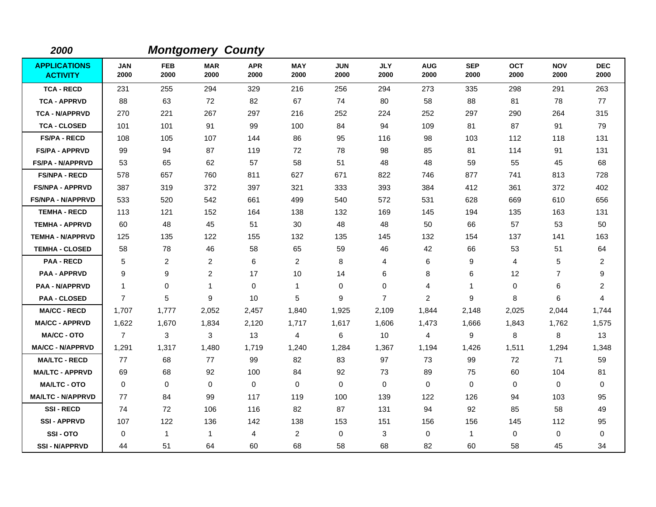| 2000                                   |                    |                    | <b>Montgomery County</b> |                    |                    |                    |                    |                    |                    |                    |                    |                    |
|----------------------------------------|--------------------|--------------------|--------------------------|--------------------|--------------------|--------------------|--------------------|--------------------|--------------------|--------------------|--------------------|--------------------|
| <b>APPLICATIONS</b><br><b>ACTIVITY</b> | <b>JAN</b><br>2000 | <b>FEB</b><br>2000 | <b>MAR</b><br>2000       | <b>APR</b><br>2000 | <b>MAY</b><br>2000 | <b>JUN</b><br>2000 | <b>JLY</b><br>2000 | <b>AUG</b><br>2000 | <b>SEP</b><br>2000 | <b>OCT</b><br>2000 | <b>NOV</b><br>2000 | <b>DEC</b><br>2000 |
| <b>TCA - RECD</b>                      | 231                | 255                | 294                      | 329                | 216                | 256                | 294                | 273                | 335                | 298                | 291                | 263                |
| <b>TCA - APPRVD</b>                    | 88                 | 63                 | 72                       | 82                 | 67                 | 74                 | 80                 | 58                 | 88                 | 81                 | 78                 | 77                 |
| <b>TCA - N/APPRVD</b>                  | 270                | 221                | 267                      | 297                | 216                | 252                | 224                | 252                | 297                | 290                | 264                | 315                |
| <b>TCA - CLOSED</b>                    | 101                | 101                | 91                       | 99                 | 100                | 84                 | 94                 | 109                | 81                 | 87                 | 91                 | 79                 |
| <b>FS/PA - RECD</b>                    | 108                | 105                | 107                      | 144                | 86                 | 95                 | 116                | 98                 | 103                | 112                | 118                | 131                |
| <b>FS/PA - APPRVD</b>                  | 99                 | 94                 | 87                       | 119                | 72                 | 78                 | 98                 | 85                 | 81                 | 114                | 91                 | 131                |
| <b>FS/PA - N/APPRVD</b>                | 53                 | 65                 | 62                       | 57                 | 58                 | 51                 | 48                 | 48                 | 59                 | 55                 | 45                 | 68                 |
| <b>FS/NPA - RECD</b>                   | 578                | 657                | 760                      | 811                | 627                | 671                | 822                | 746                | 877                | 741                | 813                | 728                |
| <b>FS/NPA - APPRVD</b>                 | 387                | 319                | 372                      | 397                | 321                | 333                | 393                | 384                | 412                | 361                | 372                | 402                |
| <b>FS/NPA - N/APPRVD</b>               | 533                | 520                | 542                      | 661                | 499                | 540                | 572                | 531                | 628                | 669                | 610                | 656                |
| <b>TEMHA - RECD</b>                    | 113                | 121                | 152                      | 164                | 138                | 132                | 169                | 145                | 194                | 135                | 163                | 131                |
| <b>TEMHA - APPRVD</b>                  | 60                 | 48                 | 45                       | 51                 | 30                 | 48                 | 48                 | 50                 | 66                 | 57                 | 53                 | 50                 |
| <b>TEMHA - N/APPRVD</b>                | 125                | 135                | 122                      | 155                | 132                | 135                | 145                | 132                | 154                | 137                | 141                | 163                |
| <b>TEMHA - CLOSED</b>                  | 58                 | 78                 | 46                       | 58                 | 65                 | 59                 | 46                 | 42                 | 66                 | 53                 | 51                 | 64                 |
| <b>PAA - RECD</b>                      | 5                  | $\overline{2}$     | 2                        | 6                  | 2                  | 8                  | 4                  | 6                  | 9                  | 4                  | 5                  | $\overline{2}$     |
| <b>PAA - APPRVD</b>                    | 9                  | 9                  | $\overline{c}$           | 17                 | 10                 | 14                 | 6                  | 8                  | 6                  | 12                 | $\overline{7}$     | 9                  |
| <b>PAA - N/APPRVD</b>                  | $\mathbf{1}$       | 0                  | -1                       | 0                  | $\mathbf{1}$       | $\Omega$           | $\Omega$           | 4                  | $\mathbf{1}$       | 0                  | 6                  | $\overline{c}$     |
| <b>PAA - CLOSED</b>                    | $\overline{7}$     | 5                  | 9                        | 10                 | 5                  | 9                  | $\overline{7}$     | 2                  | 9                  | 8                  | 6                  | 4                  |
| <b>MA/CC - RECD</b>                    | 1,707              | 1,777              | 2,052                    | 2,457              | 1,840              | 1,925              | 2,109              | 1,844              | 2,148              | 2,025              | 2,044              | 1,744              |
| <b>MA/CC - APPRVD</b>                  | 1,622              | 1,670              | 1,834                    | 2,120              | 1,717              | 1,617              | 1,606              | 1,473              | 1,666              | 1,843              | 1,762              | 1,575              |
| <b>MA/CC - OTO</b>                     | $\overline{7}$     | 3                  | 3                        | 13                 | 4                  | 6                  | 10                 | 4                  | 9                  | 8                  | 8                  | 13                 |
| <b>MA/CC - N/APPRVD</b>                | 1,291              | 1,317              | 1,480                    | 1,719              | 1,240              | 1,284              | 1,367              | 1,194              | 1,426              | 1,511              | 1,294              | 1,348              |
| <b>MA/LTC - RECD</b>                   | 77                 | 68                 | 77                       | 99                 | 82                 | 83                 | 97                 | 73                 | 99                 | 72                 | 71                 | 59                 |
| <b>MA/LTC - APPRVD</b>                 | 69                 | 68                 | 92                       | 100                | 84                 | 92                 | 73                 | 89                 | 75                 | 60                 | 104                | 81                 |
| <b>MA/LTC - OTO</b>                    | $\mathbf 0$        | $\mathbf 0$        | $\mathbf 0$              | 0                  | 0                  | $\mathbf 0$        | $\mathbf 0$        | 0                  | $\mathbf 0$        | 0                  | 0                  | 0                  |
| <b>MA/LTC - N/APPRVD</b>               | 77                 | 84                 | 99                       | 117                | 119                | 100                | 139                | 122                | 126                | 94                 | 103                | 95                 |
| <b>SSI-RECD</b>                        | 74                 | 72                 | 106                      | 116                | 82                 | 87                 | 131                | 94                 | 92                 | 85                 | 58                 | 49                 |
| <b>SSI-APPRVD</b>                      | 107                | 122                | 136                      | 142                | 138                | 153                | 151                | 156                | 156                | 145                | 112                | 95                 |
| SSI-OTO                                | 0                  | 1                  | $\overline{1}$           | 4                  | $\overline{2}$     | 0                  | 3                  | 0                  | $\mathbf{1}$       | $\Omega$           | 0                  | 0                  |
| <b>SSI-N/APPRVD</b>                    | 44                 | 51                 | 64                       | 60                 | 68                 | 58                 | 68                 | 82                 | 60                 | 58                 | 45                 | 34                 |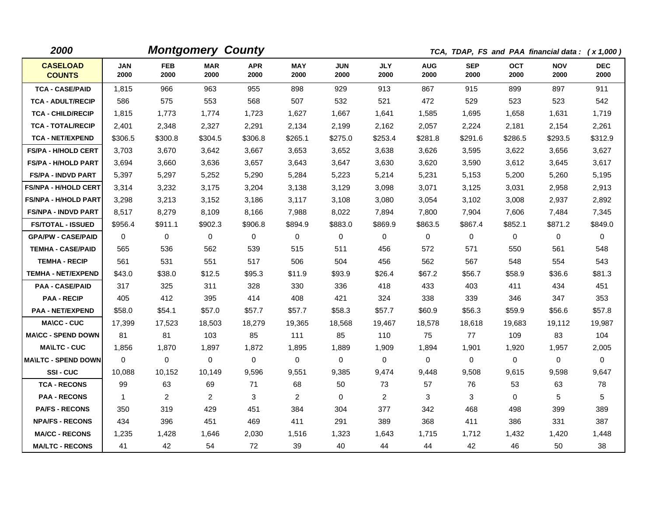| 2000                             |                    |                    | <b>Montgomery County</b> |                    |                    |                    |                    |                    |                    |                    | TCA, TDAP, FS and PAA financial data: (x 1,000) |                    |
|----------------------------------|--------------------|--------------------|--------------------------|--------------------|--------------------|--------------------|--------------------|--------------------|--------------------|--------------------|-------------------------------------------------|--------------------|
| <b>CASELOAD</b><br><b>COUNTS</b> | <b>JAN</b><br>2000 | <b>FEB</b><br>2000 | <b>MAR</b><br>2000       | <b>APR</b><br>2000 | <b>MAY</b><br>2000 | <b>JUN</b><br>2000 | <b>JLY</b><br>2000 | <b>AUG</b><br>2000 | <b>SEP</b><br>2000 | <b>OCT</b><br>2000 | <b>NOV</b><br>2000                              | <b>DEC</b><br>2000 |
| <b>TCA - CASE/PAID</b>           | 1,815              | 966                | 963                      | 955                | 898                | 929                | 913                | 867                | 915                | 899                | 897                                             | 911                |
| <b>TCA - ADULT/RECIP</b>         | 586                | 575                | 553                      | 568                | 507                | 532                | 521                | 472                | 529                | 523                | 523                                             | 542                |
| <b>TCA - CHILD/RECIP</b>         | 1,815              | 1,773              | 1,774                    | 1,723              | 1,627              | 1,667              | 1,641              | 1,585              | 1,695              | 1,658              | 1,631                                           | 1,719              |
| <b>TCA - TOTAL/RECIP</b>         | 2,401              | 2,348              | 2,327                    | 2,291              | 2,134              | 2,199              | 2,162              | 2,057              | 2,224              | 2,181              | 2,154                                           | 2,261              |
| <b>TCA - NET/EXPEND</b>          | \$306.5            | \$300.8            | \$304.5                  | \$306.8            | \$265.1            | \$275.0            | \$253.4            | \$281.8            | \$291.6            | \$286.5            | \$293.5                                         | \$312.9            |
| <b>FS/PA - H/HOLD CERT</b>       | 3,703              | 3,670              | 3,642                    | 3,667              | 3,653              | 3,652              | 3,638              | 3,626              | 3,595              | 3,622              | 3,656                                           | 3,627              |
| <b>FS/PA - H/HOLD PART</b>       | 3,694              | 3,660              | 3,636                    | 3,657              | 3,643              | 3,647              | 3,630              | 3,620              | 3,590              | 3,612              | 3,645                                           | 3,617              |
| <b>FS/PA - INDVD PART</b>        | 5,397              | 5,297              | 5,252                    | 5,290              | 5,284              | 5,223              | 5,214              | 5,231              | 5,153              | 5,200              | 5,260                                           | 5,195              |
| <b>FS/NPA - H/HOLD CERT</b>      | 3,314              | 3,232              | 3,175                    | 3,204              | 3,138              | 3,129              | 3,098              | 3,071              | 3,125              | 3,031              | 2,958                                           | 2,913              |
| <b>FS/NPA - H/HOLD PART</b>      | 3,298              | 3,213              | 3,152                    | 3,186              | 3,117              | 3,108              | 3,080              | 3,054              | 3,102              | 3,008              | 2,937                                           | 2,892              |
| <b>FS/NPA - INDVD PART</b>       | 8,517              | 8,279              | 8,109                    | 8,166              | 7,988              | 8,022              | 7,894              | 7,800              | 7,904              | 7,606              | 7,484                                           | 7,345              |
| <b>FS/TOTAL - ISSUED</b>         | \$956.4            | \$911.1            | \$902.3                  | \$906.8            | \$894.9            | \$883.0            | \$869.9            | \$863.5            | \$867.4            | \$852.1            | \$871.2                                         | \$849.0            |
| <b>GPA/PW - CASE/PAID</b>        | $\mathbf{0}$       | 0                  | 0                        | $\mathbf 0$        | 0                  | $\mathbf 0$        | 0                  | $\mathbf 0$        | $\mathbf{0}$       | $\mathbf 0$        | $\mathbf 0$                                     | 0                  |
| <b>TEMHA - CASE/PAID</b>         | 565                | 536                | 562                      | 539                | 515                | 511                | 456                | 572                | 571                | 550                | 561                                             | 548                |
| <b>TEMHA - RECIP</b>             | 561                | 531                | 551                      | 517                | 506                | 504                | 456                | 562                | 567                | 548                | 554                                             | 543                |
| <b>TEMHA - NET/EXPEND</b>        | \$43.0             | \$38.0             | \$12.5                   | \$95.3             | \$11.9             | \$93.9             | \$26.4             | \$67.2             | \$56.7             | \$58.9             | \$36.6                                          | \$81.3             |
| <b>PAA - CASE/PAID</b>           | 317                | 325                | 311                      | 328                | 330                | 336                | 418                | 433                | 403                | 411                | 434                                             | 451                |
| <b>PAA - RECIP</b>               | 405                | 412                | 395                      | 414                | 408                | 421                | 324                | 338                | 339                | 346                | 347                                             | 353                |
| <b>PAA - NET/EXPEND</b>          | \$58.0             | \$54.1             | \$57.0                   | \$57.7             | \$57.7             | \$58.3             | \$57.7             | \$60.9             | \$56.3             | \$59.9             | \$56.6                                          | \$57.8             |
| <b>MA\CC - CUC</b>               | 17,399             | 17,523             | 18,503                   | 18,279             | 19,365             | 18,568             | 19,467             | 18,578             | 18,618             | 19,683             | 19,112                                          | 19,987             |
| <b>MA\CC - SPEND DOWN</b>        | 81                 | 81                 | 103                      | 85                 | 111                | 85                 | 110                | 75                 | 77                 | 109                | 83                                              | 104                |
| <b>MA\LTC - CUC</b>              | 1,856              | 1,870              | 1,897                    | 1,872              | 1,895              | 1,889              | 1,909              | 1,894              | 1,901              | 1,920              | 1,957                                           | 2,005              |
| <b>MA\LTC - SPEND DOWN</b>       | $\mathbf 0$        | $\mathbf 0$        | $\mathbf 0$              | $\mathbf 0$        | 0                  | $\mathbf 0$        | 0                  | $\mathbf 0$        | 0                  | $\mathbf 0$        | $\mathbf 0$                                     | $\mathbf 0$        |
| SSI-CUC                          | 10,088             | 10,152             | 10,149                   | 9,596              | 9,551              | 9,385              | 9,474              | 9,448              | 9,508              | 9,615              | 9,598                                           | 9,647              |
| <b>TCA - RECONS</b>              | 99                 | 63                 | 69                       | 71                 | 68                 | 50                 | 73                 | 57                 | 76                 | 53                 | 63                                              | 78                 |
| <b>PAA - RECONS</b>              | $\mathbf{1}$       | $\overline{c}$     | 2                        | 3                  | $\overline{2}$     | $\Omega$           | 2                  | 3                  | 3                  | $\mathbf 0$        | 5                                               | 5                  |
| <b>PA/FS - RECONS</b>            | 350                | 319                | 429                      | 451                | 384                | 304                | 377                | 342                | 468                | 498                | 399                                             | 389                |
| <b>NPA/FS - RECONS</b>           | 434                | 396                | 451                      | 469                | 411                | 291                | 389                | 368                | 411                | 386                | 331                                             | 387                |
| <b>MA/CC - RECONS</b>            | 1,235              | 1,428              | 1,646                    | 2,030              | 1,516              | 1,323              | 1,643              | 1,715              | 1,712              | 1,432              | 1,420                                           | 1,448              |
| <b>MA/LTC - RECONS</b>           | 41                 | 42                 | 54                       | 72                 | 39                 | 40                 | 44                 | 44                 | 42                 | 46                 | 50                                              | 38                 |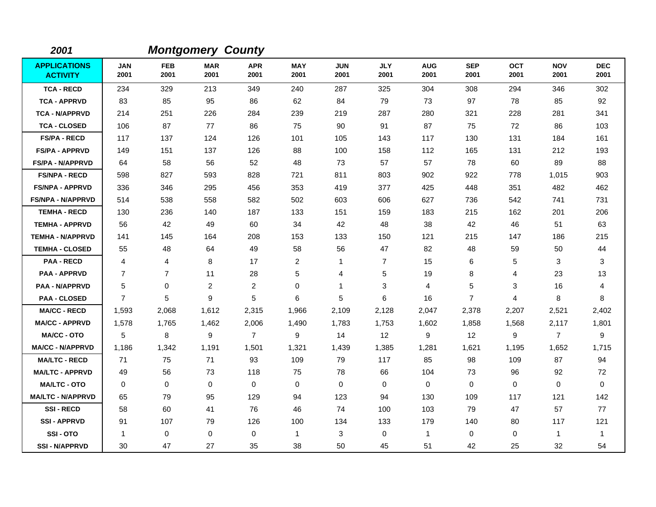| 2001                                   |                    |                    | <b>Montgomery County</b> |                    |                    |                    |                    |                    |                    |                    |                    |                    |
|----------------------------------------|--------------------|--------------------|--------------------------|--------------------|--------------------|--------------------|--------------------|--------------------|--------------------|--------------------|--------------------|--------------------|
| <b>APPLICATIONS</b><br><b>ACTIVITY</b> | <b>JAN</b><br>2001 | <b>FEB</b><br>2001 | <b>MAR</b><br>2001       | <b>APR</b><br>2001 | <b>MAY</b><br>2001 | <b>JUN</b><br>2001 | <b>JLY</b><br>2001 | <b>AUG</b><br>2001 | <b>SEP</b><br>2001 | <b>OCT</b><br>2001 | <b>NOV</b><br>2001 | <b>DEC</b><br>2001 |
| <b>TCA - RECD</b>                      | 234                | 329                | 213                      | 349                | 240                | 287                | 325                | 304                | 308                | 294                | 346                | 302                |
| <b>TCA - APPRVD</b>                    | 83                 | 85                 | 95                       | 86                 | 62                 | 84                 | 79                 | 73                 | 97                 | 78                 | 85                 | 92                 |
| <b>TCA - N/APPRVD</b>                  | 214                | 251                | 226                      | 284                | 239                | 219                | 287                | 280                | 321                | 228                | 281                | 341                |
| <b>TCA - CLOSED</b>                    | 106                | 87                 | 77                       | 86                 | 75                 | 90                 | 91                 | 87                 | 75                 | 72                 | 86                 | 103                |
| <b>FS/PA - RECD</b>                    | 117                | 137                | 124                      | 126                | 101                | 105                | 143                | 117                | 130                | 131                | 184                | 161                |
| <b>FS/PA - APPRVD</b>                  | 149                | 151                | 137                      | 126                | 88                 | 100                | 158                | 112                | 165                | 131                | 212                | 193                |
| <b>FS/PA - N/APPRVD</b>                | 64                 | 58                 | 56                       | 52                 | 48                 | 73                 | 57                 | 57                 | 78                 | 60                 | 89                 | 88                 |
| <b>FS/NPA - RECD</b>                   | 598                | 827                | 593                      | 828                | 721                | 811                | 803                | 902                | 922                | 778                | 1,015              | 903                |
| <b>FS/NPA - APPRVD</b>                 | 336                | 346                | 295                      | 456                | 353                | 419                | 377                | 425                | 448                | 351                | 482                | 462                |
| <b>FS/NPA - N/APPRVD</b>               | 514                | 538                | 558                      | 582                | 502                | 603                | 606                | 627                | 736                | 542                | 741                | 731                |
| <b>TEMHA - RECD</b>                    | 130                | 236                | 140                      | 187                | 133                | 151                | 159                | 183                | 215                | 162                | 201                | 206                |
| <b>TEMHA - APPRVD</b>                  | 56                 | 42                 | 49                       | 60                 | 34                 | 42                 | 48                 | 38                 | 42                 | 46                 | 51                 | 63                 |
| <b>TEMHA - N/APPRVD</b>                | 141                | 145                | 164                      | 208                | 153                | 133                | 150                | 121                | 215                | 147                | 186                | 215                |
| <b>TEMHA - CLOSED</b>                  | 55                 | 48                 | 64                       | 49                 | 58                 | 56                 | 47                 | 82                 | 48                 | 59                 | 50                 | 44                 |
| <b>PAA - RECD</b>                      | 4                  | 4                  | 8                        | 17                 | $\overline{2}$     | $\mathbf{1}$       | $\overline{7}$     | 15                 | 6                  | 5                  | 3                  | 3                  |
| <b>PAA - APPRVD</b>                    | $\overline{7}$     | $\overline{7}$     | 11                       | 28                 | 5                  | 4                  | 5                  | 19                 | 8                  | 4                  | 23                 | 13                 |
| <b>PAA - N/APPRVD</b>                  | 5                  | $\mathbf 0$        | $\overline{2}$           | $\overline{2}$     | 0                  | 1                  | 3                  | 4                  | 5                  | 3                  | 16                 | 4                  |
| <b>PAA - CLOSED</b>                    | $\overline{7}$     | 5                  | 9                        | 5                  | 6                  | 5                  | 6                  | 16                 | $\overline{7}$     | 4                  | 8                  | 8                  |
| <b>MA/CC - RECD</b>                    | 1,593              | 2,068              | 1,612                    | 2,315              | 1,966              | 2,109              | 2,128              | 2,047              | 2,378              | 2,207              | 2,521              | 2,402              |
| <b>MA/CC - APPRVD</b>                  | 1,578              | 1,765              | 1,462                    | 2,006              | 1,490              | 1,783              | 1,753              | 1,602              | 1,858              | 1,568              | 2,117              | 1,801              |
| <b>MA/CC - OTO</b>                     | 5                  | 8                  | 9                        | $\overline{7}$     | 9                  | 14                 | 12                 | 9                  | 12                 | 9                  | $\overline{7}$     | 9                  |
| <b>MA/CC - N/APPRVD</b>                | 1,186              | 1,342              | 1.191                    | 1,501              | 1,321              | 1,439              | 1,385              | 1,281              | 1,621              | 1,195              | 1,652              | 1,715              |
| <b>MA/LTC - RECD</b>                   | 71                 | 75                 | 71                       | 93                 | 109                | 79                 | 117                | 85                 | 98                 | 109                | 87                 | 94                 |
| <b>MA/LTC - APPRVD</b>                 | 49                 | 56                 | 73                       | 118                | 75                 | 78                 | 66                 | 104                | 73                 | 96                 | 92                 | 72                 |
| <b>MA/LTC - OTO</b>                    | $\Omega$           | $\mathbf 0$        | $\mathbf 0$              | 0                  | 0                  | $\mathbf 0$        | $\Omega$           | 0                  | $\mathbf 0$        | $\Omega$           | $\mathbf 0$        | $\mathbf 0$        |
| <b>MA/LTC - N/APPRVD</b>               | 65                 | 79                 | 95                       | 129                | 94                 | 123                | 94                 | 130                | 109                | 117                | 121                | 142                |
| <b>SSI-RECD</b>                        | 58                 | 60                 | 41                       | 76                 | 46                 | 74                 | 100                | 103                | 79                 | 47                 | 57                 | 77                 |
| <b>SSI-APPRVD</b>                      | 91                 | 107                | 79                       | 126                | 100                | 134                | 133                | 179                | 140                | 80                 | 117                | 121                |
| SSI-OTO                                | $\mathbf{1}$       | $\mathbf 0$        | $\mathbf 0$              | 0                  | $\mathbf{1}$       | 3                  | $\mathbf 0$        | 1                  | $\mathbf 0$        | 0                  | 1                  | $\overline{1}$     |
| <b>SSI - N/APPRVD</b>                  | 30                 | 47                 | 27                       | 35                 | 38                 | 50                 | 45                 | 51                 | 42                 | 25                 | 32                 | 54                 |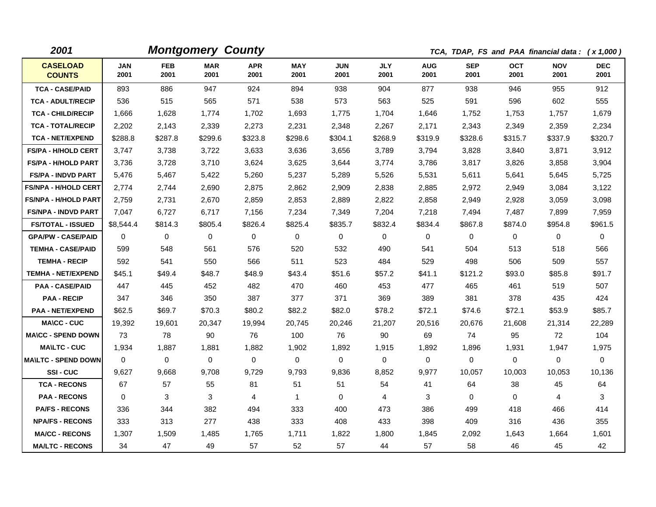| 2001                             |                    |                    | <b>Montgomery County</b> |                    |                    |                    |                    |                    |                    |                    | TCA, TDAP, FS and PAA financial data: (x 1,000) |                    |
|----------------------------------|--------------------|--------------------|--------------------------|--------------------|--------------------|--------------------|--------------------|--------------------|--------------------|--------------------|-------------------------------------------------|--------------------|
| <b>CASELOAD</b><br><b>COUNTS</b> | <b>JAN</b><br>2001 | <b>FEB</b><br>2001 | <b>MAR</b><br>2001       | <b>APR</b><br>2001 | <b>MAY</b><br>2001 | <b>JUN</b><br>2001 | <b>JLY</b><br>2001 | <b>AUG</b><br>2001 | <b>SEP</b><br>2001 | <b>OCT</b><br>2001 | <b>NOV</b><br>2001                              | <b>DEC</b><br>2001 |
| <b>TCA - CASE/PAID</b>           | 893                | 886                | 947                      | 924                | 894                | 938                | 904                | 877                | 938                | 946                | 955                                             | 912                |
| <b>TCA - ADULT/RECIP</b>         | 536                | 515                | 565                      | 571                | 538                | 573                | 563                | 525                | 591                | 596                | 602                                             | 555                |
| <b>TCA - CHILD/RECIP</b>         | 1,666              | 1,628              | 1,774                    | 1,702              | 1,693              | 1,775              | 1,704              | 1,646              | 1,752              | 1,753              | 1,757                                           | 1,679              |
| <b>TCA - TOTAL/RECIP</b>         | 2,202              | 2,143              | 2,339                    | 2,273              | 2,231              | 2,348              | 2,267              | 2,171              | 2,343              | 2,349              | 2,359                                           | 2,234              |
| <b>TCA - NET/EXPEND</b>          | \$288.8            | \$287.8            | \$299.6                  | \$323.8            | \$298.6            | \$304.1            | \$268.9            | \$319.9            | \$328.6            | \$315.7            | \$337.9                                         | \$320.7            |
| <b>FS/PA - H/HOLD CERT</b>       | 3,747              | 3,738              | 3,722                    | 3,633              | 3,636              | 3,656              | 3,789              | 3,794              | 3,828              | 3,840              | 3,871                                           | 3,912              |
| <b>FS/PA - H/HOLD PART</b>       | 3,736              | 3,728              | 3,710                    | 3,624              | 3,625              | 3,644              | 3,774              | 3,786              | 3,817              | 3,826              | 3,858                                           | 3,904              |
| <b>FS/PA - INDVD PART</b>        | 5,476              | 5,467              | 5,422                    | 5,260              | 5,237              | 5,289              | 5,526              | 5,531              | 5,611              | 5,641              | 5,645                                           | 5,725              |
| <b>FS/NPA - H/HOLD CERT</b>      | 2,774              | 2,744              | 2,690                    | 2,875              | 2,862              | 2,909              | 2,838              | 2,885              | 2,972              | 2,949              | 3,084                                           | 3,122              |
| <b>FS/NPA - H/HOLD PART</b>      | 2,759              | 2,731              | 2,670                    | 2,859              | 2,853              | 2,889              | 2,822              | 2,858              | 2,949              | 2,928              | 3,059                                           | 3,098              |
| <b>FS/NPA - INDVD PART</b>       | 7,047              | 6,727              | 6,717                    | 7,156              | 7,234              | 7,349              | 7,204              | 7,218              | 7,494              | 7,487              | 7,899                                           | 7,959              |
| <b>FS/TOTAL - ISSUED</b>         | \$8,544.4          | \$814.3            | \$805.4                  | \$826.4            | \$825.4            | \$835.7            | \$832.4            | \$834.4            | \$867.8            | \$874.0            | \$954.8                                         | \$961.5            |
| <b>GPA/PW - CASE/PAID</b>        | $\mathbf{0}$       | $\mathbf 0$        | $\mathbf 0$              | $\mathbf 0$        | $\mathbf{0}$       | $\mathbf 0$        | 0                  | $\mathbf 0$        | 0                  | $\mathbf 0$        | $\mathbf 0$                                     | 0                  |
| <b>TEMHA - CASE/PAID</b>         | 599                | 548                | 561                      | 576                | 520                | 532                | 490                | 541                | 504                | 513                | 518                                             | 566                |
| <b>TEMHA - RECIP</b>             | 592                | 541                | 550                      | 566                | 511                | 523                | 484                | 529                | 498                | 506                | 509                                             | 557                |
| <b>TEMHA - NET/EXPEND</b>        | \$45.1             | \$49.4             | \$48.7                   | \$48.9             | \$43.4             | \$51.6             | \$57.2             | \$41.1             | \$121.2            | \$93.0             | \$85.8                                          | \$91.7             |
| <b>PAA - CASE/PAID</b>           | 447                | 445                | 452                      | 482                | 470                | 460                | 453                | 477                | 465                | 461                | 519                                             | 507                |
| <b>PAA - RECIP</b>               | 347                | 346                | 350                      | 387                | 377                | 371                | 369                | 389                | 381                | 378                | 435                                             | 424                |
| <b>PAA - NET/EXPEND</b>          | \$62.5             | \$69.7             | \$70.3                   | \$80.2             | \$82.2             | \$82.0             | \$78.2             | \$72.1             | \$74.6             | \$72.1             | \$53.9                                          | \$85.7             |
| <b>MA\CC - CUC</b>               | 19,392             | 19,601             | 20,347                   | 19,994             | 20,745             | 20,246             | 21,207             | 20,516             | 20,676             | 21,608             | 21,314                                          | 22,289             |
| <b>MA\CC - SPEND DOWN</b>        | 73                 | 78                 | 90                       | 76                 | 100                | 76                 | 90                 | 69                 | 74                 | 95                 | 72                                              | 104                |
| <b>MAILTC - CUC</b>              | 1,934              | 1,887              | 1,881                    | 1,882              | 1,902              | 1,892              | 1,915              | 1,892              | 1,896              | 1,931              | 1,947                                           | 1,975              |
| <b>MAILTC - SPEND DOWN</b>       | $\mathbf{0}$       | $\mathbf 0$        | 0                        | $\mathbf 0$        | $\mathbf 0$        | $\mathbf 0$        | 0                  | $\mathbf 0$        | $\mathbf 0$        | $\mathbf 0$        | $\mathbf 0$                                     | $\mathbf 0$        |
| SSI-CUC                          | 9,627              | 9,668              | 9,708                    | 9,729              | 9,793              | 9,836              | 8,852              | 9,977              | 10,057             | 10,003             | 10,053                                          | 10,136             |
| <b>TCA - RECONS</b>              | 67                 | 57                 | 55                       | 81                 | 51                 | 51                 | 54                 | 41                 | 64                 | 38                 | 45                                              | 64                 |
| <b>PAA - RECONS</b>              | $\mathbf{0}$       | 3                  | 3                        | 4                  | $\mathbf{1}$       | $\Omega$           | 4                  | 3                  | $\Omega$           | $\mathbf 0$        | 4                                               | 3                  |
| <b>PA/FS - RECONS</b>            | 336                | 344                | 382                      | 494                | 333                | 400                | 473                | 386                | 499                | 418                | 466                                             | 414                |
| <b>NPA/FS - RECONS</b>           | 333                | 313                | 277                      | 438                | 333                | 408                | 433                | 398                | 409                | 316                | 436                                             | 355                |
| <b>MA/CC - RECONS</b>            | 1.307              | 1,509              | 1.485                    | 1,765              | 1,711              | 1.822              | 1,800              | 1,845              | 2,092              | 1,643              | 1,664                                           | 1,601              |
| <b>MA/LTC - RECONS</b>           | 34                 | 47                 | 49                       | 57                 | 52                 | 57                 | 44                 | 57                 | 58                 | 46                 | 45                                              | 42                 |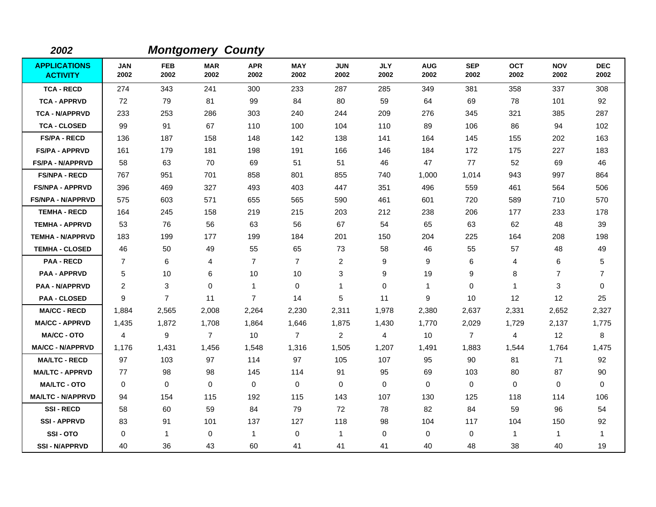| 2002                                   |                    |                    | <b>Montgomery County</b> |                    |                    |                    |                    |                    |                    |                    |                    |                    |
|----------------------------------------|--------------------|--------------------|--------------------------|--------------------|--------------------|--------------------|--------------------|--------------------|--------------------|--------------------|--------------------|--------------------|
| <b>APPLICATIONS</b><br><b>ACTIVITY</b> | <b>JAN</b><br>2002 | <b>FEB</b><br>2002 | <b>MAR</b><br>2002       | <b>APR</b><br>2002 | <b>MAY</b><br>2002 | <b>JUN</b><br>2002 | <b>JLY</b><br>2002 | <b>AUG</b><br>2002 | <b>SEP</b><br>2002 | <b>OCT</b><br>2002 | <b>NOV</b><br>2002 | <b>DEC</b><br>2002 |
| <b>TCA - RECD</b>                      | 274                | 343                | 241                      | 300                | 233                | 287                | 285                | 349                | 381                | 358                | 337                | 308                |
| <b>TCA - APPRVD</b>                    | 72                 | 79                 | 81                       | 99                 | 84                 | 80                 | 59                 | 64                 | 69                 | 78                 | 101                | 92                 |
| <b>TCA - N/APPRVD</b>                  | 233                | 253                | 286                      | 303                | 240                | 244                | 209                | 276                | 345                | 321                | 385                | 287                |
| <b>TCA - CLOSED</b>                    | 99                 | 91                 | 67                       | 110                | 100                | 104                | 110                | 89                 | 106                | 86                 | 94                 | 102                |
| <b>FS/PA - RECD</b>                    | 136                | 187                | 158                      | 148                | 142                | 138                | 141                | 164                | 145                | 155                | 202                | 163                |
| <b>FS/PA - APPRVD</b>                  | 161                | 179                | 181                      | 198                | 191                | 166                | 146                | 184                | 172                | 175                | 227                | 183                |
| <b>FS/PA - N/APPRVD</b>                | 58                 | 63                 | 70                       | 69                 | 51                 | 51                 | 46                 | 47                 | 77                 | 52                 | 69                 | 46                 |
| <b>FS/NPA - RECD</b>                   | 767                | 951                | 701                      | 858                | 801                | 855                | 740                | 1,000              | 1,014              | 943                | 997                | 864                |
| <b>FS/NPA - APPRVD</b>                 | 396                | 469                | 327                      | 493                | 403                | 447                | 351                | 496                | 559                | 461                | 564                | 506                |
| <b>FS/NPA - N/APPRVD</b>               | 575                | 603                | 571                      | 655                | 565                | 590                | 461                | 601                | 720                | 589                | 710                | 570                |
| <b>TEMHA - RECD</b>                    | 164                | 245                | 158                      | 219                | 215                | 203                | 212                | 238                | 206                | 177                | 233                | 178                |
| <b>TEMHA - APPRVD</b>                  | 53                 | 76                 | 56                       | 63                 | 56                 | 67                 | 54                 | 65                 | 63                 | 62                 | 48                 | 39                 |
| <b>TEMHA - N/APPRVD</b>                | 183                | 199                | 177                      | 199                | 184                | 201                | 150                | 204                | 225                | 164                | 208                | 198                |
| <b>TEMHA - CLOSED</b>                  | 46                 | 50                 | 49                       | 55                 | 65                 | 73                 | 58                 | 46                 | 55                 | 57                 | 48                 | 49                 |
| <b>PAA - RECD</b>                      | $\overline{7}$     | 6                  | 4                        | $\overline{7}$     | $\overline{7}$     | 2                  | 9                  | 9                  | 6                  | 4                  | 6                  | 5                  |
| <b>PAA - APPRVD</b>                    | 5                  | 10                 | 6                        | 10                 | 10                 | 3                  | 9                  | 19                 | 9                  | 8                  | $\overline{7}$     | $\overline{7}$     |
| <b>PAA - N/APPRVD</b>                  | 2                  | 3                  | $\Omega$                 | 1                  | 0                  | 1                  | $\Omega$           | $\mathbf{1}$       | $\Omega$           | 1                  | 3                  | 0                  |
| <b>PAA - CLOSED</b>                    | 9                  | $\overline{7}$     | 11                       | $\overline{7}$     | 14                 | 5                  | 11                 | 9                  | 10                 | 12                 | $12 \overline{ }$  | 25                 |
| <b>MA/CC - RECD</b>                    | 1,884              | 2,565              | 2,008                    | 2,264              | 2,230              | 2,311              | 1,978              | 2,380              | 2,637              | 2,331              | 2,652              | 2,327              |
| <b>MA/CC - APPRVD</b>                  | 1,435              | 1,872              | 1,708                    | 1,864              | 1,646              | 1,875              | 1,430              | 1,770              | 2,029              | 1,729              | 2,137              | 1,775              |
| <b>MA/CC - OTO</b>                     | 4                  | 9                  | $\overline{7}$           | 10                 | $\overline{7}$     | $\overline{2}$     | 4                  | 10                 | $\overline{7}$     | 4                  | 12                 | 8                  |
| <b>MA/CC - N/APPRVD</b>                | 1,176              | 1,431              | 1,456                    | 1,548              | 1,316              | 1,505              | 1,207              | 1,491              | 1,883              | 1,544              | 1,764              | 1,475              |
| <b>MA/LTC - RECD</b>                   | 97                 | 103                | 97                       | 114                | 97                 | 105                | 107                | 95                 | 90                 | 81                 | 71                 | 92                 |
| <b>MA/LTC - APPRVD</b>                 | 77                 | 98                 | 98                       | 145                | 114                | 91                 | 95                 | 69                 | 103                | 80                 | 87                 | 90                 |
| <b>MA/LTC - OTO</b>                    | 0                  | 0                  | $\mathbf 0$              | $\mathbf 0$        | $\mathbf 0$        | 0                  | $\mathbf 0$        | 0                  | $\mathbf 0$        | 0                  | $\mathbf 0$        | 0                  |
| <b>MA/LTC - N/APPRVD</b>               | 94                 | 154                | 115                      | 192                | 115                | 143                | 107                | 130                | 125                | 118                | 114                | 106                |
| <b>SSI-RECD</b>                        | 58                 | 60                 | 59                       | 84                 | 79                 | 72                 | 78                 | 82                 | 84                 | 59                 | 96                 | 54                 |
| <b>SSI-APPRVD</b>                      | 83                 | 91                 | 101                      | 137                | 127                | 118                | 98                 | 104                | 117                | 104                | 150                | 92                 |
| SSI-OTO                                | $\Omega$           | $\mathbf{1}$       | $\Omega$                 | 1                  | 0                  | $\mathbf{1}$       | $\Omega$           | 0                  | 0                  | $\mathbf 1$        | $\mathbf{1}$       | 1                  |
| <b>SSI-N/APPRVD</b>                    | 40                 | 36                 | 43                       | 60                 | 41                 | 41                 | 41                 | 40                 | 48                 | 38                 | 40                 | 19                 |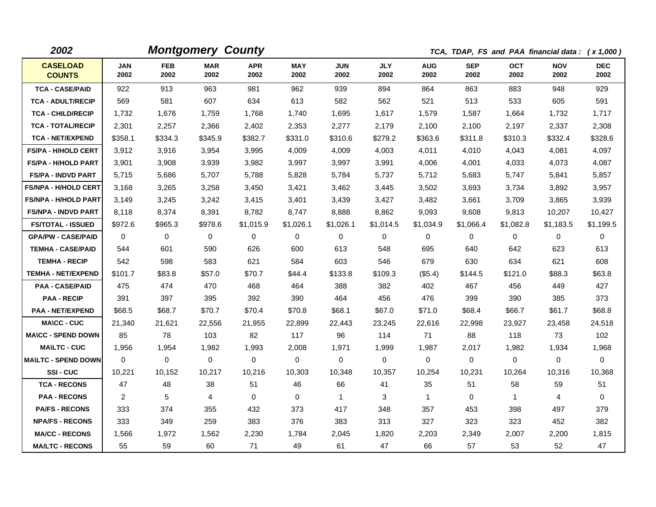| 2002                             |                    |                    | <b>Montgomery County</b> |                    |                    |                    |                    |                    | TCA, TDAP, FS and PAA financial data: (x 1,000) |                    |                    |                    |
|----------------------------------|--------------------|--------------------|--------------------------|--------------------|--------------------|--------------------|--------------------|--------------------|-------------------------------------------------|--------------------|--------------------|--------------------|
| <b>CASELOAD</b><br><b>COUNTS</b> | <b>JAN</b><br>2002 | <b>FEB</b><br>2002 | <b>MAR</b><br>2002       | <b>APR</b><br>2002 | <b>MAY</b><br>2002 | <b>JUN</b><br>2002 | <b>JLY</b><br>2002 | <b>AUG</b><br>2002 | <b>SEP</b><br>2002                              | <b>OCT</b><br>2002 | <b>NOV</b><br>2002 | <b>DEC</b><br>2002 |
| <b>TCA - CASE/PAID</b>           | 922                | 913                | 963                      | 981                | 962                | 939                | 894                | 864                | 863                                             | 883                | 948                | 929                |
| <b>TCA - ADULT/RECIP</b>         | 569                | 581                | 607                      | 634                | 613                | 582                | 562                | 521                | 513                                             | 533                | 605                | 591                |
| <b>TCA - CHILD/RECIP</b>         | 1,732              | 1,676              | 1,759                    | 1,768              | 1,740              | 1,695              | 1,617              | 1,579              | 1,587                                           | 1,664              | 1,732              | 1,717              |
| <b>TCA - TOTAL/RECIP</b>         | 2,301              | 2,257              | 2,366                    | 2,402              | 2,353              | 2,277              | 2,179              | 2,100              | 2,100                                           | 2,197              | 2,337              | 2,308              |
| <b>TCA - NET/EXPEND</b>          | \$358.1            | \$334.3            | \$345.9                  | \$382.7            | \$331.0            | \$310.6            | \$279.2            | \$363.6            | \$311.8                                         | \$310.3            | \$332.4            | \$328.6            |
| <b>FS/PA - H/HOLD CERT</b>       | 3,912              | 3,916              | 3,954                    | 3,995              | 4,009              | 4,009              | 4,003              | 4,011              | 4.010                                           | 4.043              | 4,081              | 4,097              |
| <b>FS/PA - H/HOLD PART</b>       | 3,901              | 3,908              | 3,939                    | 3,982              | 3,997              | 3,997              | 3,991              | 4,006              | 4,001                                           | 4,033              | 4,073              | 4,087              |
| <b>FS/PA - INDVD PART</b>        | 5,715              | 5,686              | 5,707                    | 5,788              | 5,828              | 5,784              | 5,737              | 5,712              | 5,683                                           | 5,747              | 5,841              | 5,857              |
| <b>FS/NPA - H/HOLD CERT</b>      | 3,168              | 3.265              | 3,258                    | 3,450              | 3,421              | 3,462              | 3,445              | 3,502              | 3,693                                           | 3,734              | 3,892              | 3,957              |
| <b>FS/NPA - H/HOLD PART</b>      | 3,149              | 3,245              | 3,242                    | 3,415              | 3,401              | 3,439              | 3,427              | 3,482              | 3,661                                           | 3,709              | 3,865              | 3,939              |
| <b>FS/NPA - INDVD PART</b>       | 8,118              | 8,374              | 8,391                    | 8,782              | 8,747              | 8,888              | 8,862              | 9,093              | 9,608                                           | 9,813              | 10,207             | 10,427             |
| <b>FS/TOTAL - ISSUED</b>         | \$972.6            | \$965.3            | \$978.6                  | \$1,015.9          | \$1,026.1          | \$1,026.1          | \$1,014.5          | \$1,034.9          | \$1,066.4                                       | \$1,082.8          | \$1,183.5          | \$1,199.5          |
| <b>GPA/PW - CASE/PAID</b>        | $\Omega$           | $\Omega$           | $\Omega$                 | $\Omega$           | 0                  | $\Omega$           | 0                  | 0                  | $\Omega$                                        | 0                  | $\mathbf{0}$       | 0                  |
| <b>TEMHA - CASE/PAID</b>         | 544                | 601                | 590                      | 626                | 600                | 613                | 548                | 695                | 640                                             | 642                | 623                | 613                |
| <b>TEMHA - RECIP</b>             | 542                | 598                | 583                      | 621                | 584                | 603                | 546                | 679                | 630                                             | 634                | 621                | 608                |
| <b>TEMHA - NET/EXPEND</b>        | \$101.7            | \$83.8             | \$57.0                   | \$70.7             | \$44.4             | \$133.8            | \$109.3            | (\$5.4)            | \$144.5                                         | \$121.0            | \$88.3             | \$63.8             |
| <b>PAA - CASE/PAID</b>           | 475                | 474                | 470                      | 468                | 464                | 388                | 382                | 402                | 467                                             | 456                | 449                | 427                |
| <b>PAA - RECIP</b>               | 391                | 397                | 395                      | 392                | 390                | 464                | 456                | 476                | 399                                             | 390                | 385                | 373                |
| <b>PAA - NET/EXPEND</b>          | \$68.5             | \$68.7             | \$70.7                   | \$70.4             | \$70.8             | \$68.1             | \$67.0             | \$71.0             | \$68.4                                          | \$66.7             | \$61.7             | \$68.8             |
| <b>MA\CC - CUC</b>               | 21,340             | 21,621             | 22,556                   | 21,955             | 22,899             | 22,443             | 23,245             | 22,616             | 22,998                                          | 23,927             | 23,458             | 24,518             |
| <b>MA\CC - SPEND DOWN</b>        | 85                 | 78                 | 103                      | 82                 | 117                | 96                 | 114                | 71                 | 88                                              | 118                | 73                 | 102                |
| <b>MA\LTC - CUC</b>              | 1,956              | 1,954              | 1,982                    | 1,993              | 2,008              | 1,971              | 1,999              | 1,987              | 2,017                                           | 1,982              | 1,934              | 1,968              |
| <b>MA\LTC - SPEND DOWN</b>       | $\mathbf{0}$       | $\mathbf 0$        | 0                        | $\mathbf 0$        | 0                  | $\mathbf 0$        | 0                  | $\mathbf 0$        | $\mathbf 0$                                     | $\mathbf 0$        | 0                  | $\mathbf 0$        |
| <b>SSI-CUC</b>                   | 10,221             | 10,152             | 10,217                   | 10,216             | 10,303             | 10,348             | 10,357             | 10,254             | 10,231                                          | 10,264             | 10,316             | 10,368             |
| <b>TCA - RECONS</b>              | 47                 | 48                 | 38                       | 51                 | 46                 | 66                 | 41                 | 35                 | 51                                              | 58                 | 59                 | 51                 |
| <b>PAA - RECONS</b>              | $\overline{2}$     | 5                  | 4                        | $\Omega$           | $\Omega$           | $\mathbf 1$        | 3                  | $\mathbf{1}$       | $\Omega$                                        | $\mathbf{1}$       | 4                  | $\Omega$           |
| <b>PA/FS - RECONS</b>            | 333                | 374                | 355                      | 432                | 373                | 417                | 348                | 357                | 453                                             | 398                | 497                | 379                |
| <b>NPA/FS - RECONS</b>           | 333                | 349                | 259                      | 383                | 376                | 383                | 313                | 327                | 323                                             | 323                | 452                | 382                |
| <b>MA/CC - RECONS</b>            | 1,566              | 1,972              | 1,562                    | 2,230              | 1,784              | 2,045              | 1,820              | 2,203              | 2,349                                           | 2,007              | 2,200              | 1,815              |
| <b>MA/LTC - RECONS</b>           | 55                 | 59                 | 60                       | 71                 | 49                 | 61                 | 47                 | 66                 | 57                                              | 53                 | 52                 | 47                 |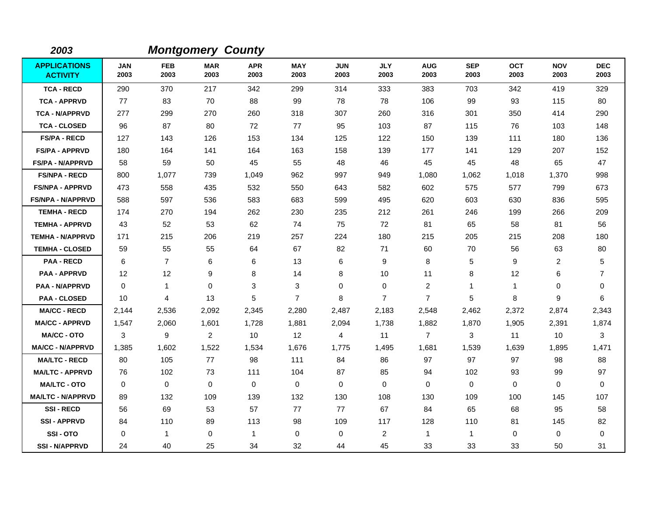| 2003                                   |                    |                    | <b>Montgomery County</b> |                    |                    |                    |                    |                    |                    |                    |                    |                    |
|----------------------------------------|--------------------|--------------------|--------------------------|--------------------|--------------------|--------------------|--------------------|--------------------|--------------------|--------------------|--------------------|--------------------|
| <b>APPLICATIONS</b><br><b>ACTIVITY</b> | <b>JAN</b><br>2003 | <b>FEB</b><br>2003 | <b>MAR</b><br>2003       | <b>APR</b><br>2003 | <b>MAY</b><br>2003 | <b>JUN</b><br>2003 | <b>JLY</b><br>2003 | <b>AUG</b><br>2003 | <b>SEP</b><br>2003 | <b>OCT</b><br>2003 | <b>NOV</b><br>2003 | <b>DEC</b><br>2003 |
| <b>TCA - RECD</b>                      | 290                | 370                | 217                      | 342                | 299                | 314                | 333                | 383                | 703                | 342                | 419                | 329                |
| <b>TCA - APPRVD</b>                    | 77                 | 83                 | 70                       | 88                 | 99                 | 78                 | 78                 | 106                | 99                 | 93                 | 115                | 80                 |
| <b>TCA - N/APPRVD</b>                  | 277                | 299                | 270                      | 260                | 318                | 307                | 260                | 316                | 301                | 350                | 414                | 290                |
| <b>TCA - CLOSED</b>                    | 96                 | 87                 | 80                       | 72                 | 77                 | 95                 | 103                | 87                 | 115                | 76                 | 103                | 148                |
| <b>FS/PA - RECD</b>                    | 127                | 143                | 126                      | 153                | 134                | 125                | 122                | 150                | 139                | 111                | 180                | 136                |
| <b>FS/PA - APPRVD</b>                  | 180                | 164                | 141                      | 164                | 163                | 158                | 139                | 177                | 141                | 129                | 207                | 152                |
| FS/PA - N/APPRVD                       | 58                 | 59                 | 50                       | 45                 | 55                 | 48                 | 46                 | 45                 | 45                 | 48                 | 65                 | 47                 |
| <b>FS/NPA - RECD</b>                   | 800                | 1,077              | 739                      | 1,049              | 962                | 997                | 949                | 1,080              | 1,062              | 1,018              | 1,370              | 998                |
| <b>FS/NPA - APPRVD</b>                 | 473                | 558                | 435                      | 532                | 550                | 643                | 582                | 602                | 575                | 577                | 799                | 673                |
| <b>FS/NPA - N/APPRVD</b>               | 588                | 597                | 536                      | 583                | 683                | 599                | 495                | 620                | 603                | 630                | 836                | 595                |
| <b>TEMHA - RECD</b>                    | 174                | 270                | 194                      | 262                | 230                | 235                | 212                | 261                | 246                | 199                | 266                | 209                |
| <b>TEMHA - APPRVD</b>                  | 43                 | 52                 | 53                       | 62                 | 74                 | 75                 | 72                 | 81                 | 65                 | 58                 | 81                 | 56                 |
| <b>TEMHA - N/APPRVD</b>                | 171                | 215                | 206                      | 219                | 257                | 224                | 180                | 215                | 205                | 215                | 208                | 180                |
| <b>TEMHA - CLOSED</b>                  | 59                 | 55                 | 55                       | 64                 | 67                 | 82                 | 71                 | 60                 | 70                 | 56                 | 63                 | 80                 |
| <b>PAA - RECD</b>                      | 6                  | $\overline{7}$     | 6                        | 6                  | 13                 | 6                  | 9                  | 8                  | 5                  | 9                  | $\overline{2}$     | 5                  |
| <b>PAA - APPRVD</b>                    | 12                 | 12                 | 9                        | 8                  | 14                 | 8                  | 10                 | 11                 | 8                  | $12 \overline{ }$  | 6                  | $\overline{7}$     |
| <b>PAA - N/APPRVD</b>                  | 0                  | $\mathbf{1}$       | $\mathbf 0$              | 3                  | 3                  | $\mathbf 0$        | $\mathbf 0$        | 2                  | $\mathbf{1}$       | $\mathbf{1}$       | 0                  | 0                  |
| <b>PAA - CLOSED</b>                    | 10                 | 4                  | 13                       | 5                  | $\overline{7}$     | 8                  | $\overline{7}$     | $\overline{7}$     | 5                  | 8                  | 9                  | 6                  |
| <b>MA/CC - RECD</b>                    | 2,144              | 2,536              | 2,092                    | 2,345              | 2,280              | 2,487              | 2,183              | 2,548              | 2,462              | 2,372              | 2,874              | 2,343              |
| <b>MA/CC - APPRVD</b>                  | 1,547              | 2,060              | 1,601                    | 1,728              | 1,881              | 2,094              | 1,738              | 1,882              | 1,870              | 1,905              | 2,391              | 1,874              |
| <b>MA/CC - OTO</b>                     | 3                  | 9                  | $\overline{2}$           | 10                 | 12                 | 4                  | 11                 | $\overline{7}$     | 3                  | 11                 | 10                 | 3                  |
| <b>MA/CC - N/APPRVD</b>                | 1,385              | 1,602              | 1,522                    | 1,534              | 1,676              | 1,775              | 1,495              | 1,681              | 1,539              | 1,639              | 1,895              | 1,471              |
| <b>MA/LTC - RECD</b>                   | 80                 | 105                | 77                       | 98                 | 111                | 84                 | 86                 | 97                 | 97                 | 97                 | 98                 | 88                 |
| <b>MA/LTC - APPRVD</b>                 | 76                 | 102                | 73                       | 111                | 104                | 87                 | 85                 | 94                 | 102                | 93                 | 99                 | 97                 |
| <b>MA/LTC - OTO</b>                    | 0                  | $\mathbf 0$        | $\mathbf 0$              | 0                  | $\mathbf 0$        | $\mathbf 0$        | $\mathbf 0$        | 0                  | $\mathbf 0$        | 0                  | $\mathbf 0$        | $\mathbf 0$        |
| <b>MA/LTC - N/APPRVD</b>               | 89                 | 132                | 109                      | 139                | 132                | 130                | 108                | 130                | 109                | 100                | 145                | 107                |
| <b>SSI-RECD</b>                        | 56                 | 69                 | 53                       | 57                 | 77                 | 77                 | 67                 | 84                 | 65                 | 68                 | 95                 | 58                 |
| <b>SSI-APPRVD</b>                      | 84                 | 110                | 89                       | 113                | 98                 | 109                | 117                | 128                | 110                | 81                 | 145                | 82                 |
| SSI-OTO                                | $\Omega$           | $\mathbf{1}$       | $\mathbf{0}$             | $\mathbf{1}$       | 0                  | $\Omega$           | $\overline{c}$     | $\mathbf{1}$       | $\mathbf{1}$       | 0                  | 0                  | 0                  |
| <b>SSI-N/APPRVD</b>                    | 24                 | 40                 | 25                       | 34                 | 32                 | 44                 | 45                 | 33                 | 33                 | 33                 | 50                 | 31                 |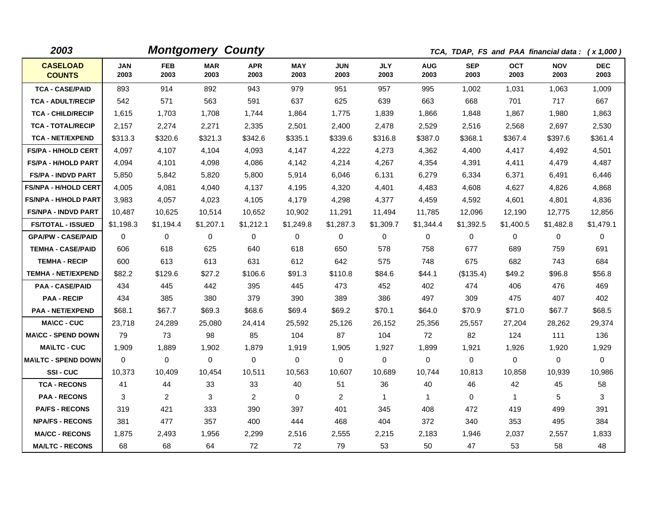| 2003                             |                    |                    | <b>Montgomery County</b> |                    |                    |                    |                    | TCA, TDAP, FS and PAA financial data: (x 1,000) |                    |                    |                    |                    |  |  |
|----------------------------------|--------------------|--------------------|--------------------------|--------------------|--------------------|--------------------|--------------------|-------------------------------------------------|--------------------|--------------------|--------------------|--------------------|--|--|
| <b>CASELOAD</b><br><b>COUNTS</b> | <b>JAN</b><br>2003 | <b>FEB</b><br>2003 | <b>MAR</b><br>2003       | <b>APR</b><br>2003 | <b>MAY</b><br>2003 | <b>JUN</b><br>2003 | <b>JLY</b><br>2003 | <b>AUG</b><br>2003                              | <b>SEP</b><br>2003 | <b>OCT</b><br>2003 | <b>NOV</b><br>2003 | <b>DEC</b><br>2003 |  |  |
| <b>TCA - CASE/PAID</b>           | 893                | 914                | 892                      | 943                | 979                | 951                | 957                | 995                                             | 1,002              | 1,031              | 1,063              | 1,009              |  |  |
| <b>TCA - ADULT/RECIP</b>         | 542                | 571                | 563                      | 591                | 637                | 625                | 639                | 663                                             | 668                | 701                | 717                | 667                |  |  |
| <b>TCA - CHILD/RECIP</b>         | 1,615              | 1,703              | 1,708                    | 1,744              | 1,864              | 1,775              | 1,839              | 1,866                                           | 1,848              | 1,867              | 1,980              | 1,863              |  |  |
| <b>TCA - TOTAL/RECIP</b>         | 2,157              | 2,274              | 2,271                    | 2,335              | 2,501              | 2,400              | 2,478              | 2,529                                           | 2,516              | 2,568              | 2,697              | 2,530              |  |  |
| <b>TCA - NET/EXPEND</b>          | \$313.3            | \$320.6            | \$321.3                  | \$342.6            | \$335.1            | \$339.6            | \$316.8            | \$387.0                                         | \$368.1            | \$367.4            | \$397.6            | \$361.4            |  |  |
| <b>FS/PA - H/HOLD CERT</b>       | 4,097              | 4,107              | 4,104                    | 4,093              | 4,147              | 4,222              | 4,273              | 4,362                                           | 4,400              | 4,417              | 4,492              | 4,501              |  |  |
| <b>FS/PA - H/HOLD PART</b>       | 4,094              | 4,101              | 4,098                    | 4,086              | 4,142              | 4,214              | 4,267              | 4,354                                           | 4,391              | 4,411              | 4,479              | 4,487              |  |  |
| <b>FS/PA - INDVD PART</b>        | 5,850              | 5,842              | 5,820                    | 5,800              | 5,914              | 6,046              | 6,131              | 6,279                                           | 6,334              | 6,371              | 6,491              | 6,446              |  |  |
| <b>FS/NPA - H/HOLD CERT</b>      | 4,005              | 4,081              | 4,040                    | 4,137              | 4,195              | 4,320              | 4,401              | 4,483                                           | 4,608              | 4,627              | 4,826              | 4,868              |  |  |
| <b>FS/NPA - H/HOLD PART</b>      | 3,983              | 4.057              | 4,023                    | 4,105              | 4.179              | 4,298              | 4,377              | 4,459                                           | 4,592              | 4.601              | 4,801              | 4,836              |  |  |
| <b>FS/NPA - INDVD PART</b>       | 10,487             | 10,625             | 10,514                   | 10,652             | 10,902             | 11,291             | 11,494             | 11,785                                          | 12,096             | 12,190             | 12,775             | 12,856             |  |  |
| <b>FS/TOTAL - ISSUED</b>         | \$1,198.3          | \$1.194.4          | \$1,207.1                | \$1,212.1          | \$1,249.8          | \$1,287.3          | \$1,309.7          | \$1,344.4                                       | \$1.392.5          | \$1,400.5          | \$1,482.8          | \$1,479.1          |  |  |
| <b>GPA/PW - CASE/PAID</b>        | 0                  | $\mathbf 0$        | 0                        | $\mathbf 0$        | 0                  | 0                  | 0                  | 0                                               | 0                  | 0                  | 0                  | $\mathbf 0$        |  |  |
| <b>TEMHA - CASE/PAID</b>         | 606                | 618                | 625                      | 640                | 618                | 650                | 578                | 758                                             | 677                | 689                | 759                | 691                |  |  |
| <b>TEMHA - RECIP</b>             | 600                | 613                | 613                      | 631                | 612                | 642                | 575                | 748                                             | 675                | 682                | 743                | 684                |  |  |
| <b>TEMHA - NET/EXPEND</b>        | \$82.2             | \$129.6            | \$27.2                   | \$106.6            | \$91.3             | \$110.8            | \$84.6             | \$44.1                                          | (\$135.4)          | \$49.2             | \$96.8             | \$56.8             |  |  |
| <b>PAA - CASE/PAID</b>           | 434                | 445                | 442                      | 395                | 445                | 473                | 452                | 402                                             | 474                | 406                | 476                | 469                |  |  |
| <b>PAA - RECIP</b>               | 434                | 385                | 380                      | 379                | 390                | 389                | 386                | 497                                             | 309                | 475                | 407                | 402                |  |  |
| <b>PAA - NET/EXPEND</b>          | \$68.1             | \$67.7             | \$69.3                   | \$68.6             | \$69.4             | \$69.2             | \$70.1             | \$64.0                                          | \$70.9             | \$71.0             | \$67.7             | \$68.5             |  |  |
| <b>MA\CC - CUC</b>               | 23,718             | 24,289             | 25,080                   | 24,414             | 25,592             | 25,126             | 26,152             | 25,356                                          | 25,557             | 27,204             | 28,262             | 29,374             |  |  |
| <b>MA\CC - SPEND DOWN</b>        | 79                 | 73                 | 98                       | 85                 | 104                | 87                 | 104                | 72                                              | 82                 | 124                | 111                | 136                |  |  |
| <b>MA\LTC - CUC</b>              | 1,909              | 1,889              | 1,902                    | 1,879              | 1,919              | 1,905              | 1,927              | 1,899                                           | 1,921              | 1,926              | 1,920              | 1,929              |  |  |
| <b>MA\LTC - SPEND DOWN</b>       | $\Omega$           | $\Omega$           | $\mathbf 0$              | $\mathbf 0$        | $\mathbf 0$        | 0                  | 0                  | 0                                               | 0                  | $\mathbf 0$        | 0                  | $\mathbf 0$        |  |  |
| SSI-CUC                          | 10,373             | 10,409             | 10,454                   | 10,511             | 10,563             | 10,607             | 10,689             | 10,744                                          | 10,813             | 10,858             | 10,939             | 10,986             |  |  |
| <b>TCA - RECONS</b>              | 41                 | 44                 | 33                       | 33                 | 40                 | 51                 | 36                 | 40                                              | 46                 | 42                 | 45                 | 58                 |  |  |
| <b>PAA - RECONS</b>              | 3                  | $\overline{2}$     | 3                        | $\overline{2}$     | 0                  | $\overline{2}$     | $\mathbf{1}$       | $\mathbf{1}$                                    | 0                  | $\mathbf{1}$       | 5                  | 3                  |  |  |
| <b>PA/FS - RECONS</b>            | 319                | 421                | 333                      | 390                | 397                | 401                | 345                | 408                                             | 472                | 419                | 499                | 391                |  |  |
| <b>NPA/FS - RECONS</b>           | 381                | 477                | 357                      | 400                | 444                | 468                | 404                | 372                                             | 340                | 353                | 495                | 384                |  |  |
| <b>MA/CC - RECONS</b>            | 1.875              | 2,493              | 1.956                    | 2,299              | 2,516              | 2,555              | 2,215              | 2.183                                           | 1,946              | 2,037              | 2,557              | 1,833              |  |  |
| <b>MA/LTC - RECONS</b>           | 68                 | 68                 | 64                       | 72                 | 72                 | 79                 | 53                 | 50                                              | 47                 | 53                 | 58                 | 48                 |  |  |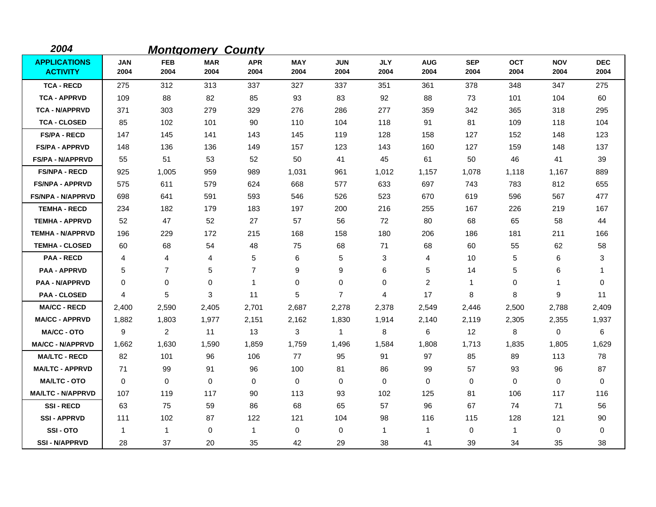| 2004                                   |              |                    | <b>Montgomery County</b> |                    |                    |                    |                    |                    |                    |                    |                    |                    |
|----------------------------------------|--------------|--------------------|--------------------------|--------------------|--------------------|--------------------|--------------------|--------------------|--------------------|--------------------|--------------------|--------------------|
| <b>APPLICATIONS</b><br><b>ACTIVITY</b> | JAN<br>2004  | <b>FEB</b><br>2004 | <b>MAR</b><br>2004       | <b>APR</b><br>2004 | <b>MAY</b><br>2004 | <b>JUN</b><br>2004 | <b>JLY</b><br>2004 | <b>AUG</b><br>2004 | <b>SEP</b><br>2004 | <b>OCT</b><br>2004 | <b>NOV</b><br>2004 | <b>DEC</b><br>2004 |
| <b>TCA - RECD</b>                      | 275          | 312                | 313                      | 337                | 327                | 337                | 351                | 361                | 378                | 348                | 347                | 275                |
| <b>TCA - APPRVD</b>                    | 109          | 88                 | 82                       | 85                 | 93                 | 83                 | 92                 | 88                 | 73                 | 101                | 104                | 60                 |
| <b>TCA - N/APPRVD</b>                  | 371          | 303                | 279                      | 329                | 276                | 286                | 277                | 359                | 342                | 365                | 318                | 295                |
| <b>TCA - CLOSED</b>                    | 85           | 102                | 101                      | 90                 | 110                | 104                | 118                | 91                 | 81                 | 109                | 118                | 104                |
| <b>FS/PA - RECD</b>                    | 147          | 145                | 141                      | 143                | 145                | 119                | 128                | 158                | 127                | 152                | 148                | 123                |
| <b>FS/PA - APPRVD</b>                  | 148          | 136                | 136                      | 149                | 157                | 123                | 143                | 160                | 127                | 159                | 148                | 137                |
| <b>FS/PA - N/APPRVD</b>                | 55           | 51                 | 53                       | 52                 | 50                 | 41                 | 45                 | 61                 | 50                 | 46                 | 41                 | 39                 |
| <b>FS/NPA - RECD</b>                   | 925          | 1,005              | 959                      | 989                | 1,031              | 961                | 1,012              | 1,157              | 1,078              | 1,118              | 1,167              | 889                |
| <b>FS/NPA - APPRVD</b>                 | 575          | 611                | 579                      | 624                | 668                | 577                | 633                | 697                | 743                | 783                | 812                | 655                |
| <b>FS/NPA - N/APPRVD</b>               | 698          | 641                | 591                      | 593                | 546                | 526                | 523                | 670                | 619                | 596                | 567                | 477                |
| <b>TEMHA - RECD</b>                    | 234          | 182                | 179                      | 183                | 197                | 200                | 216                | 255                | 167                | 226                | 219                | 167                |
| <b>TEMHA - APPRVD</b>                  | 52           | 47                 | 52                       | 27                 | 57                 | 56                 | 72                 | 80                 | 68                 | 65                 | 58                 | 44                 |
| <b>TEMHA - N/APPRVD</b>                | 196          | 229                | 172                      | 215                | 168                | 158                | 180                | 206                | 186                | 181                | 211                | 166                |
| <b>TEMHA - CLOSED</b>                  | 60           | 68                 | 54                       | 48                 | 75                 | 68                 | 71                 | 68                 | 60                 | 55                 | 62                 | 58                 |
| <b>PAA - RECD</b>                      | 4            | 4                  | 4                        | 5                  | 6                  | 5                  | 3                  | 4                  | 10                 | 5                  | 6                  | 3                  |
| <b>PAA - APPRVD</b>                    | 5            | $\overline{7}$     | 5                        | $\overline{7}$     | 9                  | 9                  | 6                  | 5                  | 14                 | 5                  | 6                  | 1                  |
| <b>PAA - N/APPRVD</b>                  | 0            | 0                  | $\mathbf 0$              | $\mathbf 1$        | $\pmb{0}$          | 0                  | 0                  | $\overline{2}$     | $\mathbf{1}$       | 0                  | 1                  | 0                  |
| <b>PAA - CLOSED</b>                    | 4            | 5                  | 3                        | 11                 | 5                  | $\overline{7}$     | 4                  | 17                 | 8                  | 8                  | 9                  | 11                 |
| <b>MA/CC - RECD</b>                    | 2,400        | 2,590              | 2,405                    | 2,701              | 2,687              | 2,278              | 2,378              | 2,549              | 2,446              | 2,500              | 2,788              | 2,409              |
| <b>MA/CC - APPRVD</b>                  | 1,882        | 1,803              | 1,977                    | 2,151              | 2,162              | 1,830              | 1,914              | 2,140              | 2,119              | 2,305              | 2,355              | 1,937              |
| <b>MA/CC - OTO</b>                     | 9            | 2                  | 11                       | 13                 | 3                  | 1                  | 8                  | 6                  | 12                 | 8                  | 0                  | 6                  |
| <b>MA/CC - N/APPRVD</b>                | 1,662        | 1,630              | 1,590                    | 1,859              | 1,759              | 1,496              | 1,584              | 1,808              | 1,713              | 1,835              | 1,805              | 1,629              |
| <b>MA/LTC - RECD</b>                   | 82           | 101                | 96                       | 106                | 77                 | 95                 | 91                 | 97                 | 85                 | 89                 | 113                | 78                 |
| <b>MA/LTC - APPRVD</b>                 | 71           | 99                 | 91                       | 96                 | 100                | 81                 | 86                 | 99                 | 57                 | 93                 | 96                 | 87                 |
| <b>MA/LTC - OTO</b>                    | $\mathbf 0$  | 0                  | 0                        | 0                  | 0                  | 0                  | 0                  | 0                  | 0                  | 0                  | 0                  | 0                  |
| <b>MA/LTC - N/APPRVD</b>               | 107          | 119                | 117                      | 90                 | 113                | 93                 | 102                | 125                | 81                 | 106                | 117                | 116                |
| <b>SSI-RECD</b>                        | 63           | 75                 | 59                       | 86                 | 68                 | 65                 | 57                 | 96                 | 67                 | 74                 | 71                 | 56                 |
| <b>SSI-APPRVD</b>                      | 111          | 102                | 87                       | 122                | 121                | 104                | 98                 | 116                | 115                | 128                | 121                | 90                 |
| SSI-OTO                                | $\mathbf{1}$ | 1                  | 0                        | $\mathbf{1}$       | 0                  | 0                  | $\mathbf{1}$       | $\mathbf{1}$       | $\mathbf 0$        | $\mathbf 1$        | 0                  | 0                  |
| <b>SSI-N/APPRVD</b>                    | 28           | 37                 | 20                       | 35                 | 42                 | 29                 | 38                 | 41                 | 39                 | 34                 | 35                 | 38                 |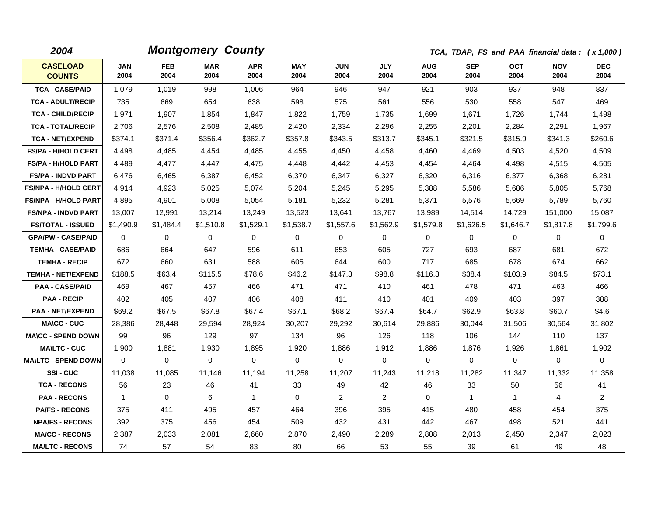| 2004                             |                    |                    | <b>Montgomery County</b> |                    |                    |                    |                    |                    | TCA, TDAP, FS and PAA financial data: (x 1,000) |                    |                    |                    |
|----------------------------------|--------------------|--------------------|--------------------------|--------------------|--------------------|--------------------|--------------------|--------------------|-------------------------------------------------|--------------------|--------------------|--------------------|
| <b>CASELOAD</b><br><b>COUNTS</b> | <b>JAN</b><br>2004 | <b>FEB</b><br>2004 | <b>MAR</b><br>2004       | <b>APR</b><br>2004 | <b>MAY</b><br>2004 | <b>JUN</b><br>2004 | <b>JLY</b><br>2004 | <b>AUG</b><br>2004 | <b>SEP</b><br>2004                              | <b>OCT</b><br>2004 | <b>NOV</b><br>2004 | <b>DEC</b><br>2004 |
| <b>TCA - CASE/PAID</b>           | 1.079              | 1.019              | 998                      | 1,006              | 964                | 946                | 947                | 921                | 903                                             | 937                | 948                | 837                |
| <b>TCA - ADULT/RECIP</b>         | 735                | 669                | 654                      | 638                | 598                | 575                | 561                | 556                | 530                                             | 558                | 547                | 469                |
| <b>TCA - CHILD/RECIP</b>         | 1,971              | 1,907              | 1,854                    | 1,847              | 1,822              | 1,759              | 1,735              | 1,699              | 1,671                                           | 1,726              | 1,744              | 1,498              |
| <b>TCA - TOTAL/RECIP</b>         | 2,706              | 2,576              | 2,508                    | 2,485              | 2,420              | 2,334              | 2,296              | 2,255              | 2,201                                           | 2,284              | 2,291              | 1,967              |
| <b>TCA - NET/EXPEND</b>          | \$374.1            | \$371.4            | \$356.4                  | \$362.7            | \$357.8            | \$343.5            | \$313.7            | \$345.1            | \$321.5                                         | \$315.9            | \$341.3            | \$260.6            |
| <b>FS/PA - H/HOLD CERT</b>       | 4,498              | 4,485              | 4.454                    | 4,485              | 4,455              | 4.450              | 4.458              | 4,460              | 4.469                                           | 4.503              | 4,520              | 4,509              |
| <b>FS/PA - H/HOLD PART</b>       | 4,489              | 4,477              | 4,447                    | 4,475              | 4,448              | 4,442              | 4,453              | 4,454              | 4,464                                           | 4,498              | 4,515              | 4,505              |
| <b>FS/PA - INDVD PART</b>        | 6,476              | 6,465              | 6,387                    | 6,452              | 6,370              | 6,347              | 6,327              | 6,320              | 6,316                                           | 6,377              | 6,368              | 6,281              |
| <b>FS/NPA - H/HOLD CERT</b>      | 4.914              | 4,923              | 5.025                    | 5.074              | 5,204              | 5.245              | 5,295              | 5,388              | 5.586                                           | 5.686              | 5,805              | 5.768              |
| <b>FS/NPA - H/HOLD PART</b>      | 4,895              | 4,901              | 5,008                    | 5,054              | 5,181              | 5,232              | 5,281              | 5,371              | 5,576                                           | 5,669              | 5,789              | 5,760              |
| <b>FS/NPA - INDVD PART</b>       | 13,007             | 12,991             | 13,214                   | 13,249             | 13,523             | 13,641             | 13,767             | 13,989             | 14,514                                          | 14,729             | 151,000            | 15,087             |
| <b>FS/TOTAL - ISSUED</b>         | \$1,490.9          | \$1,484.4          | \$1,510.8                | \$1,529.1          | \$1,538.7          | \$1,557.6          | \$1,562.9          | \$1,579.8          | \$1,626.5                                       | \$1,646.7          | \$1,817.8          | \$1,799.6          |
| <b>GPA/PW - CASE/PAID</b>        | 0                  | $\mathbf 0$        | $\mathbf{0}$             | $\mathbf 0$        | $\mathbf 0$        | $\Omega$           | 0                  | $\mathbf 0$        | $\Omega$                                        | $\mathbf 0$        | 0                  | $\mathbf 0$        |
| <b>TEMHA - CASE/PAID</b>         | 686                | 664                | 647                      | 596                | 611                | 653                | 605                | 727                | 693                                             | 687                | 681                | 672                |
| <b>TEMHA - RECIP</b>             | 672                | 660                | 631                      | 588                | 605                | 644                | 600                | 717                | 685                                             | 678                | 674                | 662                |
| <b>TEMHA - NET/EXPEND</b>        | \$188.5            | \$63.4             | \$115.5                  | \$78.6             | \$46.2             | \$147.3            | \$98.8             | \$116.3            | \$38.4                                          | \$103.9            | \$84.5             | \$73.1             |
| <b>PAA - CASE/PAID</b>           | 469                | 467                | 457                      | 466                | 471                | 471                | 410                | 461                | 478                                             | 471                | 463                | 466                |
| <b>PAA - RECIP</b>               | 402                | 405                | 407                      | 406                | 408                | 411                | 410                | 401                | 409                                             | 403                | 397                | 388                |
| <b>PAA - NET/EXPEND</b>          | \$69.2             | \$67.5             | \$67.8                   | \$67.4             | \$67.1             | \$68.2             | \$67.4             | \$64.7             | \$62.9                                          | \$63.8             | \$60.7             | \$4.6              |
| <b>MA\CC - CUC</b>               | 28,386             | 28,448             | 29,594                   | 28,924             | 30,207             | 29,292             | 30,614             | 29,886             | 30.044                                          | 31,506             | 30,564             | 31,802             |
| <b>MA\CC - SPEND DOWN</b>        | 99                 | 96                 | 129                      | 97                 | 134                | 96                 | 126                | 118                | 106                                             | 144                | 110                | 137                |
| <b>MA\LTC - CUC</b>              | 1,900              | 1,881              | 1,930                    | 1,895              | 1,920              | 1,886              | 1,912              | 1,886              | 1,876                                           | 1,926              | 1,861              | 1,902              |
| <b>MA\LTC - SPEND DOWN</b>       | $\Omega$           | $\mathbf 0$        | 0                        | $\mathbf 0$        | $\mathbf 0$        | 0                  | $\Omega$           | $\mathbf 0$        | $\Omega$                                        | $\mathbf{0}$       | $\mathbf 0$        | $\mathbf 0$        |
| SSI-CUC                          | 11,038             | 11,085             | 11,146                   | 11,194             | 11,258             | 11,207             | 11,243             | 11,218             | 11,282                                          | 11,347             | 11,332             | 11,358             |
| <b>TCA - RECONS</b>              | 56                 | 23                 | 46                       | 41                 | 33                 | 49                 | 42                 | 46                 | 33                                              | 50                 | 56                 | 41                 |
| <b>PAA - RECONS</b>              | 1                  | $\mathbf 0$        | 6                        | $\mathbf{1}$       | $\mathbf 0$        | 2                  | $\overline{2}$     | $\Omega$           | 1                                               | $\mathbf{1}$       | $\overline{4}$     | $\overline{2}$     |
| <b>PA/FS - RECONS</b>            | 375                | 411                | 495                      | 457                | 464                | 396                | 395                | 415                | 480                                             | 458                | 454                | 375                |
| <b>NPA/FS - RECONS</b>           | 392                | 375                | 456                      | 454                | 509                | 432                | 431                | 442                | 467                                             | 498                | 521                | 441                |
| <b>MA/CC - RECONS</b>            | 2,387              | 2,033              | 2,081                    | 2.660              | 2,870              | 2,490              | 2,289              | 2,808              | 2,013                                           | 2,450              | 2,347              | 2,023              |
| <b>MA/LTC - RECONS</b>           | 74                 | 57                 | 54                       | 83                 | 80                 | 66                 | 53                 | 55                 | 39                                              | 61                 | 49                 | 48                 |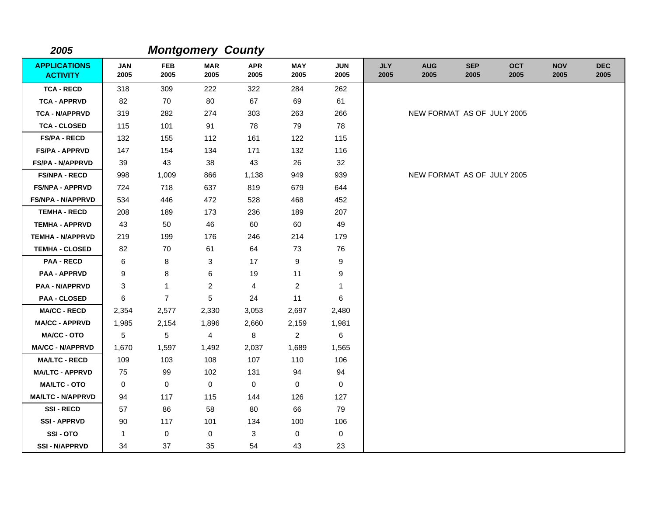| 2005                                   |                    |                    | <b>Montgomery County</b> |                    |                    |                    |                    |                            |                    |                    |                    |                    |
|----------------------------------------|--------------------|--------------------|--------------------------|--------------------|--------------------|--------------------|--------------------|----------------------------|--------------------|--------------------|--------------------|--------------------|
| <b>APPLICATIONS</b><br><b>ACTIVITY</b> | <b>JAN</b><br>2005 | <b>FEB</b><br>2005 | <b>MAR</b><br>2005       | <b>APR</b><br>2005 | <b>MAY</b><br>2005 | <b>JUN</b><br>2005 | <b>JLY</b><br>2005 | <b>AUG</b><br>2005         | <b>SEP</b><br>2005 | <b>OCT</b><br>2005 | <b>NOV</b><br>2005 | <b>DEC</b><br>2005 |
| <b>TCA - RECD</b>                      | 318                | 309                | 222                      | 322                | 284                | 262                |                    |                            |                    |                    |                    |                    |
| <b>TCA - APPRVD</b>                    | 82                 | 70                 | 80                       | 67                 | 69                 | 61                 |                    |                            |                    |                    |                    |                    |
| <b>TCA - N/APPRVD</b>                  | 319                | 282                | 274                      | 303                | 263                | 266                |                    | NEW FORMAT AS OF JULY 2005 |                    |                    |                    |                    |
| <b>TCA - CLOSED</b>                    | 115                | 101                | 91                       | 78                 | 79                 | 78                 |                    |                            |                    |                    |                    |                    |
| <b>FS/PA - RECD</b>                    | 132                | 155                | 112                      | 161                | 122                | 115                |                    |                            |                    |                    |                    |                    |
| <b>FS/PA - APPRVD</b>                  | 147                | 154                | 134                      | 171                | 132                | 116                |                    |                            |                    |                    |                    |                    |
| <b>FS/PA - N/APPRVD</b>                | 39                 | 43                 | 38                       | 43                 | 26                 | 32                 |                    |                            |                    |                    |                    |                    |
| <b>FS/NPA - RECD</b>                   | 998                | 1,009              | 866                      | 1,138              | 949                | 939                |                    | NEW FORMAT AS OF JULY 2005 |                    |                    |                    |                    |
| <b>FS/NPA - APPRVD</b>                 | 724                | 718                | 637                      | 819                | 679                | 644                |                    |                            |                    |                    |                    |                    |
| FS/NPA - N/APPRVD                      | 534                | 446                | 472                      | 528                | 468                | 452                |                    |                            |                    |                    |                    |                    |
| <b>TEMHA - RECD</b>                    | 208                | 189                | 173                      | 236                | 189                | 207                |                    |                            |                    |                    |                    |                    |
| <b>TEMHA - APPRVD</b>                  | 43                 | 50                 | 46                       | 60                 | 60                 | 49                 |                    |                            |                    |                    |                    |                    |
| <b>TEMHA - N/APPRVD</b>                | 219                | 199                | 176                      | 246                | 214                | 179                |                    |                            |                    |                    |                    |                    |
| <b>TEMHA - CLOSED</b>                  | 82                 | 70                 | 61                       | 64                 | 73                 | 76                 |                    |                            |                    |                    |                    |                    |
| <b>PAA - RECD</b>                      | 6                  | 8                  | 3                        | 17                 | $\boldsymbol{9}$   | $\boldsymbol{9}$   |                    |                            |                    |                    |                    |                    |
| <b>PAA - APPRVD</b>                    | 9                  | 8                  | 6                        | 19                 | 11                 | 9                  |                    |                            |                    |                    |                    |                    |
| <b>PAA - N/APPRVD</b>                  | 3                  | $\mathbf{1}$       | $\overline{2}$           | 4                  | $\overline{c}$     | 1                  |                    |                            |                    |                    |                    |                    |
| <b>PAA - CLOSED</b>                    | 6                  | $\overline{7}$     | $\sqrt{5}$               | 24                 | 11                 | 6                  |                    |                            |                    |                    |                    |                    |
| <b>MA/CC - RECD</b>                    | 2,354              | 2,577              | 2,330                    | 3,053              | 2,697              | 2,480              |                    |                            |                    |                    |                    |                    |
| <b>MA/CC - APPRVD</b>                  | 1,985              | 2,154              | 1,896                    | 2,660              | 2,159              | 1,981              |                    |                            |                    |                    |                    |                    |
| MA/CC - OTO                            | 5                  | 5                  | 4                        | 8                  | $\overline{a}$     | 6                  |                    |                            |                    |                    |                    |                    |
| <b>MA/CC - N/APPRVD</b>                | 1,670              | 1,597              | 1,492                    | 2,037              | 1,689              | 1,565              |                    |                            |                    |                    |                    |                    |
| <b>MA/LTC - RECD</b>                   | 109                | 103                | 108                      | 107                | 110                | 106                |                    |                            |                    |                    |                    |                    |
| <b>MA/LTC - APPRVD</b>                 | 75                 | 99                 | 102                      | 131                | 94                 | 94                 |                    |                            |                    |                    |                    |                    |
| <b>MA/LTC - OTO</b>                    | 0                  | $\mathbf 0$        | 0                        | 0                  | 0                  | $\mathbf 0$        |                    |                            |                    |                    |                    |                    |
| <b>MA/LTC - N/APPRVD</b>               | 94                 | 117                | 115                      | 144                | 126                | 127                |                    |                            |                    |                    |                    |                    |
| <b>SSI-RECD</b>                        | 57                 | 86                 | 58                       | 80                 | 66                 | 79                 |                    |                            |                    |                    |                    |                    |
| <b>SSI - APPRVD</b>                    | 90                 | 117                | 101                      | 134                | 100                | 106                |                    |                            |                    |                    |                    |                    |
| SSI-OTO                                | 1                  | $\mathbf 0$        | 0                        | 3                  | 0                  | 0                  |                    |                            |                    |                    |                    |                    |
| <b>SSI - N/APPRVD</b>                  | 34                 | 37                 | 35                       | 54                 | 43                 | 23                 |                    |                            |                    |                    |                    |                    |